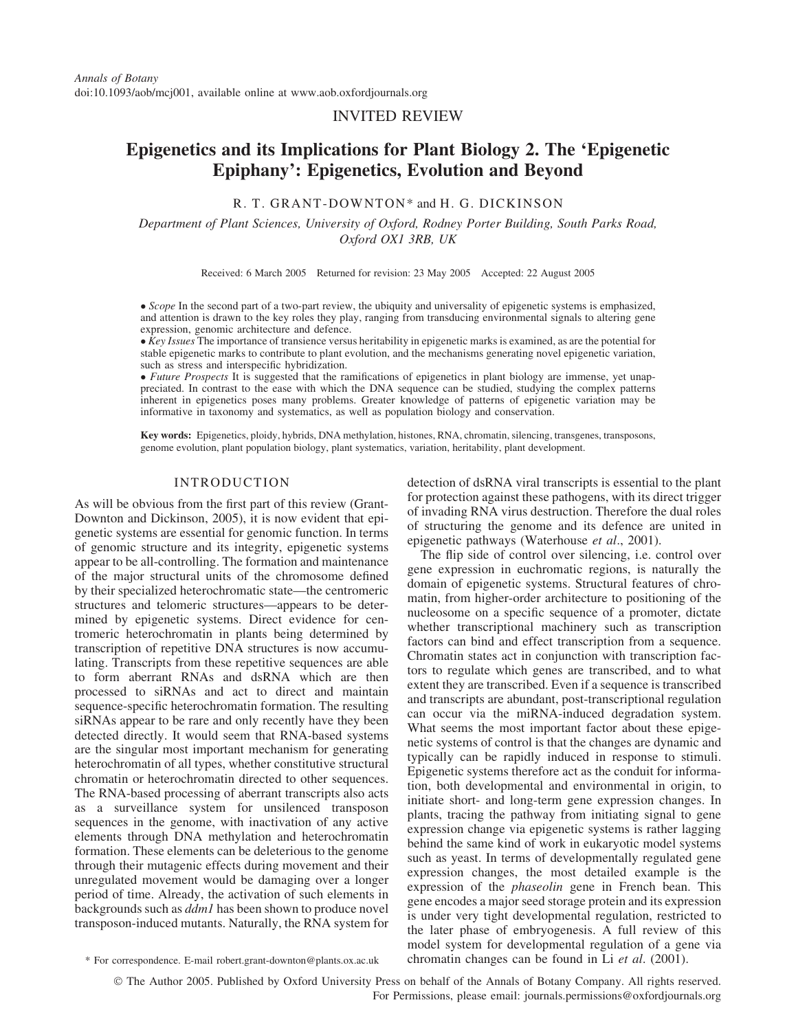# INVITED REVIEW

# Epigenetics and its Implications for Plant Biology 2. The 'Epigenetic Epiphany': Epigenetics, Evolution and Beyond

# R. T. GRANT-DOWNTON\* and H. G. DICKINSON

Department of Plant Sciences, University of Oxford, Rodney Porter Building, South Parks Road, Oxford OX1 3RB, UK

Received: 6 March 2005 Returned for revision: 23 May 2005 Accepted: 22 August 2005

• Scope In the second part of a two-part review, the ubiquity and universality of epigenetic systems is emphasized, and attention is drawn to the key roles they play, ranging from transducing environmental signals to altering gene expression, genomic architecture and defence.

 $\bullet$  Key Issues The importance of transience versus heritability in epigenetic marks is examined, as are the potential for stable epigenetic marks to contribute to plant evolution, and the mechanisms generating novel epigenetic variation, such as stress and interspecific hybridization.

• Future Prospects It is suggested that the ramifications of epigenetics in plant biology are immense, yet unappreciated. In contrast to the ease with which the DNA sequence can be studied, studying the complex patterns inherent in epigenetics poses many problems. Greater knowledge of patterns of epigenetic variation may be informative in taxonomy and systematics, as well as population biology and conservation.

Key words: Epigenetics, ploidy, hybrids, DNA methylation, histones, RNA, chromatin, silencing, transgenes, transposons, genome evolution, plant population biology, plant systematics, variation, heritability, plant development.

# INTRODUCTION

As will be obvious from the first part of this review (Grant-Downton and Dickinson, 2005), it is now evident that epigenetic systems are essential for genomic function. In terms of genomic structure and its integrity, epigenetic systems appear to be all-controlling. The formation and maintenance of the major structural units of the chromosome defined by their specialized heterochromatic state—the centromeric structures and telomeric structures—appears to be determined by epigenetic systems. Direct evidence for centromeric heterochromatin in plants being determined by transcription of repetitive DNA structures is now accumulating. Transcripts from these repetitive sequences are able to form aberrant RNAs and dsRNA which are then processed to siRNAs and act to direct and maintain sequence-specific heterochromatin formation. The resulting siRNAs appear to be rare and only recently have they been detected directly. It would seem that RNA-based systems are the singular most important mechanism for generating heterochromatin of all types, whether constitutive structural chromatin or heterochromatin directed to other sequences. The RNA-based processing of aberrant transcripts also acts as a surveillance system for unsilenced transposon sequences in the genome, with inactivation of any active elements through DNA methylation and heterochromatin formation. These elements can be deleterious to the genome through their mutagenic effects during movement and their unregulated movement would be damaging over a longer period of time. Already, the activation of such elements in backgrounds such as ddm1 has been shown to produce novel transposon-induced mutants. Naturally, the RNA system for detection of dsRNA viral transcripts is essential to the plant for protection against these pathogens, with its direct trigger of invading RNA virus destruction. Therefore the dual roles of structuring the genome and its defence are united in epigenetic pathways (Waterhouse et al., 2001).

The flip side of control over silencing, i.e. control over gene expression in euchromatic regions, is naturally the domain of epigenetic systems. Structural features of chromatin, from higher-order architecture to positioning of the nucleosome on a specific sequence of a promoter, dictate whether transcriptional machinery such as transcription factors can bind and effect transcription from a sequence. Chromatin states act in conjunction with transcription factors to regulate which genes are transcribed, and to what extent they are transcribed. Even if a sequence is transcribed and transcripts are abundant, post-transcriptional regulation can occur via the miRNA-induced degradation system. What seems the most important factor about these epigenetic systems of control is that the changes are dynamic and typically can be rapidly induced in response to stimuli. Epigenetic systems therefore act as the conduit for information, both developmental and environmental in origin, to initiate short- and long-term gene expression changes. In plants, tracing the pathway from initiating signal to gene expression change via epigenetic systems is rather lagging behind the same kind of work in eukaryotic model systems such as yeast. In terms of developmentally regulated gene expression changes, the most detailed example is the expression of the phaseolin gene in French bean. This gene encodes a major seed storage protein and its expression is under very tight developmental regulation, restricted to the later phase of embryogenesis. A full review of this model system for developmental regulation of a gene via \* For correspondence. E-mail robert.grant-downton@plants.ox.ac.uk chromatin changes can be found in Li et al. (2001).

 The Author 2005. Published by Oxford University Press on behalf of the Annals of Botany Company. All rights reserved. For Permissions, please email: journals.permissions@oxfordjournals.org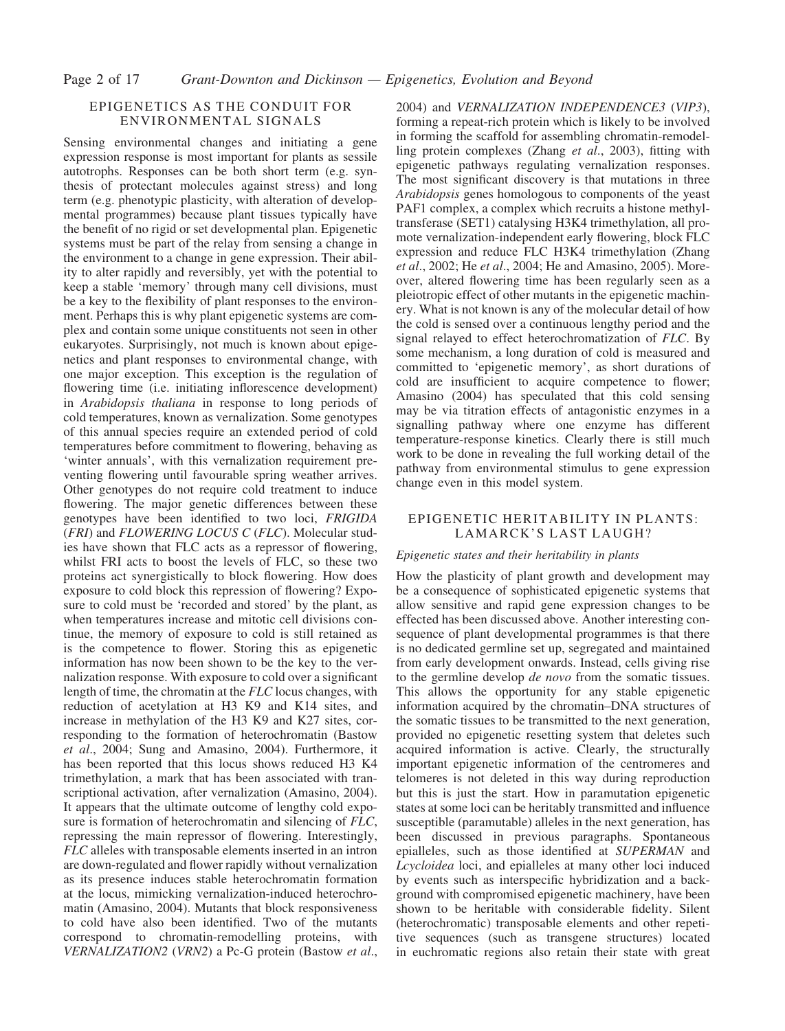## EPIGENETICS AS THE CONDUIT FOR ENVIRONMENTAL SIGNALS

Sensing environmental changes and initiating a gene expression response is most important for plants as sessile autotrophs. Responses can be both short term (e.g. synthesis of protectant molecules against stress) and long term (e.g. phenotypic plasticity, with alteration of developmental programmes) because plant tissues typically have the benefit of no rigid or set developmental plan. Epigenetic systems must be part of the relay from sensing a change in the environment to a change in gene expression. Their ability to alter rapidly and reversibly, yet with the potential to keep a stable 'memory' through many cell divisions, must be a key to the flexibility of plant responses to the environment. Perhaps this is why plant epigenetic systems are complex and contain some unique constituents not seen in other eukaryotes. Surprisingly, not much is known about epigenetics and plant responses to environmental change, with one major exception. This exception is the regulation of flowering time (i.e. initiating inflorescence development) in Arabidopsis thaliana in response to long periods of cold temperatures, known as vernalization. Some genotypes of this annual species require an extended period of cold temperatures before commitment to flowering, behaving as 'winter annuals', with this vernalization requirement preventing flowering until favourable spring weather arrives. Other genotypes do not require cold treatment to induce flowering. The major genetic differences between these genotypes have been identified to two loci, FRIGIDA (FRI) and FLOWERING LOCUS C (FLC). Molecular studies have shown that FLC acts as a repressor of flowering, whilst FRI acts to boost the levels of FLC, so these two proteins act synergistically to block flowering. How does exposure to cold block this repression of flowering? Exposure to cold must be 'recorded and stored' by the plant, as when temperatures increase and mitotic cell divisions continue, the memory of exposure to cold is still retained as is the competence to flower. Storing this as epigenetic information has now been shown to be the key to the vernalization response. With exposure to cold over a significant length of time, the chromatin at the FLC locus changes, with reduction of acetylation at H3 K9 and K14 sites, and increase in methylation of the H3 K9 and K27 sites, corresponding to the formation of heterochromatin (Bastow et al., 2004; Sung and Amasino, 2004). Furthermore, it has been reported that this locus shows reduced H3 K4 trimethylation, a mark that has been associated with transcriptional activation, after vernalization (Amasino, 2004). It appears that the ultimate outcome of lengthy cold exposure is formation of heterochromatin and silencing of FLC, repressing the main repressor of flowering. Interestingly, FLC alleles with transposable elements inserted in an intron are down-regulated and flower rapidly without vernalization as its presence induces stable heterochromatin formation at the locus, mimicking vernalization-induced heterochromatin (Amasino, 2004). Mutants that block responsiveness to cold have also been identified. Two of the mutants correspond to chromatin-remodelling proteins, with VERNALIZATION2 (VRN2) a Pc-G protein (Bastow et al.,

2004) and VERNALIZATION INDEPENDENCE3 (VIP3), forming a repeat-rich protein which is likely to be involved in forming the scaffold for assembling chromatin-remodelling protein complexes (Zhang et al., 2003), fitting with epigenetic pathways regulating vernalization responses. The most significant discovery is that mutations in three Arabidopsis genes homologous to components of the yeast PAF1 complex, a complex which recruits a histone methyltransferase (SET1) catalysing H3K4 trimethylation, all promote vernalization-independent early flowering, block FLC expression and reduce FLC H3K4 trimethylation (Zhang et al., 2002; He et al., 2004; He and Amasino, 2005). Moreover, altered flowering time has been regularly seen as a pleiotropic effect of other mutants in the epigenetic machinery. What is not known is any of the molecular detail of how the cold is sensed over a continuous lengthy period and the signal relayed to effect heterochromatization of FLC. By some mechanism, a long duration of cold is measured and committed to 'epigenetic memory', as short durations of cold are insufficient to acquire competence to flower; Amasino (2004) has speculated that this cold sensing may be via titration effects of antagonistic enzymes in a signalling pathway where one enzyme has different temperature-response kinetics. Clearly there is still much work to be done in revealing the full working detail of the pathway from environmental stimulus to gene expression change even in this model system.

# EPIGENETIC HERITABILITY IN PLANTS: LAMARCK'S LAST LAUGH?

#### Epigenetic states and their heritability in plants

How the plasticity of plant growth and development may be a consequence of sophisticated epigenetic systems that allow sensitive and rapid gene expression changes to be effected has been discussed above. Another interesting consequence of plant developmental programmes is that there is no dedicated germline set up, segregated and maintained from early development onwards. Instead, cells giving rise to the germline develop de novo from the somatic tissues. This allows the opportunity for any stable epigenetic information acquired by the chromatin–DNA structures of the somatic tissues to be transmitted to the next generation, provided no epigenetic resetting system that deletes such acquired information is active. Clearly, the structurally important epigenetic information of the centromeres and telomeres is not deleted in this way during reproduction but this is just the start. How in paramutation epigenetic states at some loci can be heritably transmitted and influence susceptible (paramutable) alleles in the next generation, has been discussed in previous paragraphs. Spontaneous epialleles, such as those identified at SUPERMAN and Lcycloidea loci, and epialleles at many other loci induced by events such as interspecific hybridization and a background with compromised epigenetic machinery, have been shown to be heritable with considerable fidelity. Silent (heterochromatic) transposable elements and other repetitive sequences (such as transgene structures) located in euchromatic regions also retain their state with great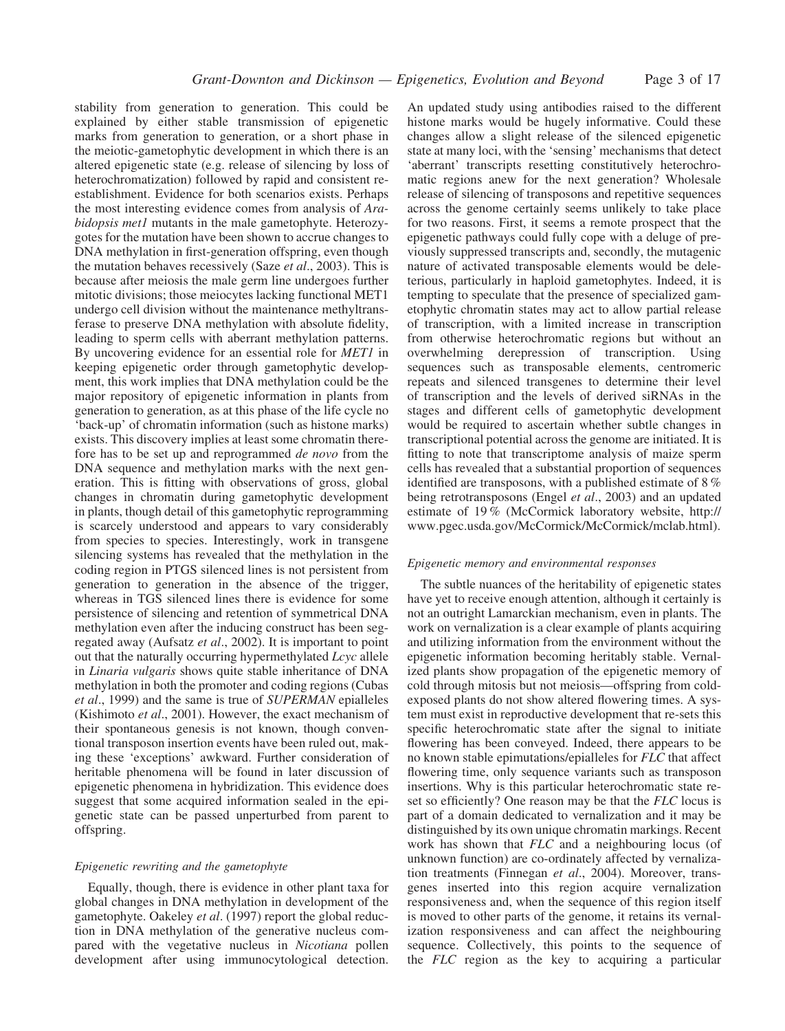stability from generation to generation. This could be explained by either stable transmission of epigenetic marks from generation to generation, or a short phase in the meiotic-gametophytic development in which there is an altered epigenetic state (e.g. release of silencing by loss of heterochromatization) followed by rapid and consistent reestablishment. Evidence for both scenarios exists. Perhaps the most interesting evidence comes from analysis of Arabidopsis met1 mutants in the male gametophyte. Heterozygotes for the mutation have been shown to accrue changes to DNA methylation in first-generation offspring, even though the mutation behaves recessively (Saze et al., 2003). This is because after meiosis the male germ line undergoes further mitotic divisions; those meiocytes lacking functional MET1 undergo cell division without the maintenance methyltransferase to preserve DNA methylation with absolute fidelity, leading to sperm cells with aberrant methylation patterns. By uncovering evidence for an essential role for MET1 in keeping epigenetic order through gametophytic development, this work implies that DNA methylation could be the major repository of epigenetic information in plants from generation to generation, as at this phase of the life cycle no 'back-up' of chromatin information (such as histone marks) exists. This discovery implies at least some chromatin therefore has to be set up and reprogrammed de novo from the DNA sequence and methylation marks with the next generation. This is fitting with observations of gross, global changes in chromatin during gametophytic development in plants, though detail of this gametophytic reprogramming is scarcely understood and appears to vary considerably from species to species. Interestingly, work in transgene silencing systems has revealed that the methylation in the coding region in PTGS silenced lines is not persistent from generation to generation in the absence of the trigger, whereas in TGS silenced lines there is evidence for some persistence of silencing and retention of symmetrical DNA methylation even after the inducing construct has been segregated away (Aufsatz et al., 2002). It is important to point out that the naturally occurring hypermethylated Lcyc allele in Linaria vulgaris shows quite stable inheritance of DNA methylation in both the promoter and coding regions (Cubas et al., 1999) and the same is true of SUPERMAN epialleles (Kishimoto et al., 2001). However, the exact mechanism of their spontaneous genesis is not known, though conventional transposon insertion events have been ruled out, making these 'exceptions' awkward. Further consideration of heritable phenomena will be found in later discussion of epigenetic phenomena in hybridization. This evidence does suggest that some acquired information sealed in the epigenetic state can be passed unperturbed from parent to offspring.

## Epigenetic rewriting and the gametophyte

Equally, though, there is evidence in other plant taxa for global changes in DNA methylation in development of the gametophyte. Oakeley et al. (1997) report the global reduction in DNA methylation of the generative nucleus compared with the vegetative nucleus in Nicotiana pollen development after using immunocytological detection. An updated study using antibodies raised to the different histone marks would be hugely informative. Could these changes allow a slight release of the silenced epigenetic state at many loci, with the 'sensing' mechanisms that detect 'aberrant' transcripts resetting constitutively heterochromatic regions anew for the next generation? Wholesale release of silencing of transposons and repetitive sequences across the genome certainly seems unlikely to take place for two reasons. First, it seems a remote prospect that the epigenetic pathways could fully cope with a deluge of previously suppressed transcripts and, secondly, the mutagenic nature of activated transposable elements would be deleterious, particularly in haploid gametophytes. Indeed, it is tempting to speculate that the presence of specialized gametophytic chromatin states may act to allow partial release of transcription, with a limited increase in transcription from otherwise heterochromatic regions but without an overwhelming derepression of transcription. Using sequences such as transposable elements, centromeric repeats and silenced transgenes to determine their level of transcription and the levels of derived siRNAs in the stages and different cells of gametophytic development would be required to ascertain whether subtle changes in transcriptional potential across the genome are initiated. It is fitting to note that transcriptome analysis of maize sperm cells has revealed that a substantial proportion of sequences identified are transposons, with a published estimate of 8 % being retrotransposons (Engel *et al.*, 2003) and an updated estimate of 19 % (McCormick laboratory website,<http://> www.pgec.usda.gov/McCormick/McCormick/mclab.html).

### Epigenetic memory and environmental responses

The subtle nuances of the heritability of epigenetic states have yet to receive enough attention, although it certainly is not an outright Lamarckian mechanism, even in plants. The work on vernalization is a clear example of plants acquiring and utilizing information from the environment without the epigenetic information becoming heritably stable. Vernalized plants show propagation of the epigenetic memory of cold through mitosis but not meiosis—offspring from coldexposed plants do not show altered flowering times. A system must exist in reproductive development that re-sets this specific heterochromatic state after the signal to initiate flowering has been conveyed. Indeed, there appears to be no known stable epimutations/epialleles for FLC that affect flowering time, only sequence variants such as transposon insertions. Why is this particular heterochromatic state reset so efficiently? One reason may be that the FLC locus is part of a domain dedicated to vernalization and it may be distinguished by its own unique chromatin markings. Recent work has shown that FLC and a neighbouring locus (of unknown function) are co-ordinately affected by vernalization treatments (Finnegan et al., 2004). Moreover, transgenes inserted into this region acquire vernalization responsiveness and, when the sequence of this region itself is moved to other parts of the genome, it retains its vernalization responsiveness and can affect the neighbouring sequence. Collectively, this points to the sequence of the FLC region as the key to acquiring a particular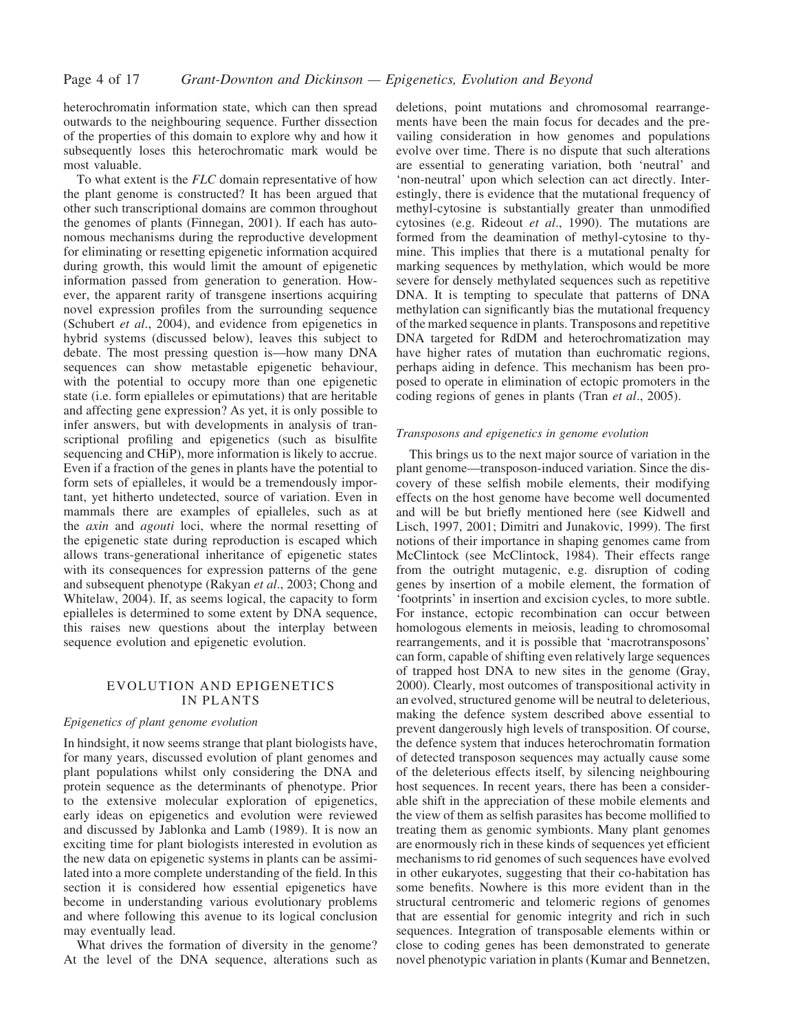heterochromatin information state, which can then spread outwards to the neighbouring sequence. Further dissection of the properties of this domain to explore why and how it subsequently loses this heterochromatic mark would be most valuable.

To what extent is the FLC domain representative of how the plant genome is constructed? It has been argued that other such transcriptional domains are common throughout the genomes of plants (Finnegan, 2001). If each has autonomous mechanisms during the reproductive development for eliminating or resetting epigenetic information acquired during growth, this would limit the amount of epigenetic information passed from generation to generation. However, the apparent rarity of transgene insertions acquiring novel expression profiles from the surrounding sequence (Schubert et al., 2004), and evidence from epigenetics in hybrid systems (discussed below), leaves this subject to debate. The most pressing question is—how many DNA sequences can show metastable epigenetic behaviour, with the potential to occupy more than one epigenetic state (i.e. form epialleles or epimutations) that are heritable and affecting gene expression? As yet, it is only possible to infer answers, but with developments in analysis of transcriptional profiling and epigenetics (such as bisulfite sequencing and CHiP), more information is likely to accrue. Even if a fraction of the genes in plants have the potential to form sets of epialleles, it would be a tremendously important, yet hitherto undetected, source of variation. Even in mammals there are examples of epialleles, such as at the axin and agouti loci, where the normal resetting of the epigenetic state during reproduction is escaped which allows trans-generational inheritance of epigenetic states with its consequences for expression patterns of the gene and subsequent phenotype (Rakyan et al., 2003; Chong and Whitelaw, 2004). If, as seems logical, the capacity to form epialleles is determined to some extent by DNA sequence, this raises new questions about the interplay between sequence evolution and epigenetic evolution.

## EVOLUTION AND EPIGENETICS IN PLANTS

## Epigenetics of plant genome evolution

In hindsight, it now seems strange that plant biologists have, for many years, discussed evolution of plant genomes and plant populations whilst only considering the DNA and protein sequence as the determinants of phenotype. Prior to the extensive molecular exploration of epigenetics, early ideas on epigenetics and evolution were reviewed and discussed by Jablonka and Lamb (1989). It is now an exciting time for plant biologists interested in evolution as the new data on epigenetic systems in plants can be assimilated into a more complete understanding of the field. In this section it is considered how essential epigenetics have become in understanding various evolutionary problems and where following this avenue to its logical conclusion may eventually lead.

What drives the formation of diversity in the genome? At the level of the DNA sequence, alterations such as deletions, point mutations and chromosomal rearrangements have been the main focus for decades and the prevailing consideration in how genomes and populations evolve over time. There is no dispute that such alterations are essential to generating variation, both 'neutral' and 'non-neutral' upon which selection can act directly. Interestingly, there is evidence that the mutational frequency of methyl-cytosine is substantially greater than unmodified cytosines (e.g. Rideout et al., 1990). The mutations are formed from the deamination of methyl-cytosine to thymine. This implies that there is a mutational penalty for marking sequences by methylation, which would be more severe for densely methylated sequences such as repetitive DNA. It is tempting to speculate that patterns of DNA methylation can significantly bias the mutational frequency of the marked sequence in plants. Transposons and repetitive DNA targeted for RdDM and heterochromatization may have higher rates of mutation than euchromatic regions, perhaps aiding in defence. This mechanism has been proposed to operate in elimination of ectopic promoters in the coding regions of genes in plants (Tran et al., 2005).

#### Transposons and epigenetics in genome evolution

This brings us to the next major source of variation in the plant genome—transposon-induced variation. Since the discovery of these selfish mobile elements, their modifying effects on the host genome have become well documented and will be but briefly mentioned here (see Kidwell and Lisch, 1997, 2001; Dimitri and Junakovic, 1999). The first notions of their importance in shaping genomes came from McClintock (see McClintock, 1984). Their effects range from the outright mutagenic, e.g. disruption of coding genes by insertion of a mobile element, the formation of 'footprints' in insertion and excision cycles, to more subtle. For instance, ectopic recombination can occur between homologous elements in meiosis, leading to chromosomal rearrangements, and it is possible that 'macrotransposons' can form, capable of shifting even relatively large sequences of trapped host DNA to new sites in the genome (Gray, 2000). Clearly, most outcomes of transpositional activity in an evolved, structured genome will be neutral to deleterious, making the defence system described above essential to prevent dangerously high levels of transposition. Of course, the defence system that induces heterochromatin formation of detected transposon sequences may actually cause some of the deleterious effects itself, by silencing neighbouring host sequences. In recent years, there has been a considerable shift in the appreciation of these mobile elements and the view of them as selfish parasites has become mollified to treating them as genomic symbionts. Many plant genomes are enormously rich in these kinds of sequences yet efficient mechanisms to rid genomes of such sequences have evolved in other eukaryotes, suggesting that their co-habitation has some benefits. Nowhere is this more evident than in the structural centromeric and telomeric regions of genomes that are essential for genomic integrity and rich in such sequences. Integration of transposable elements within or close to coding genes has been demonstrated to generate novel phenotypic variation in plants (Kumar and Bennetzen,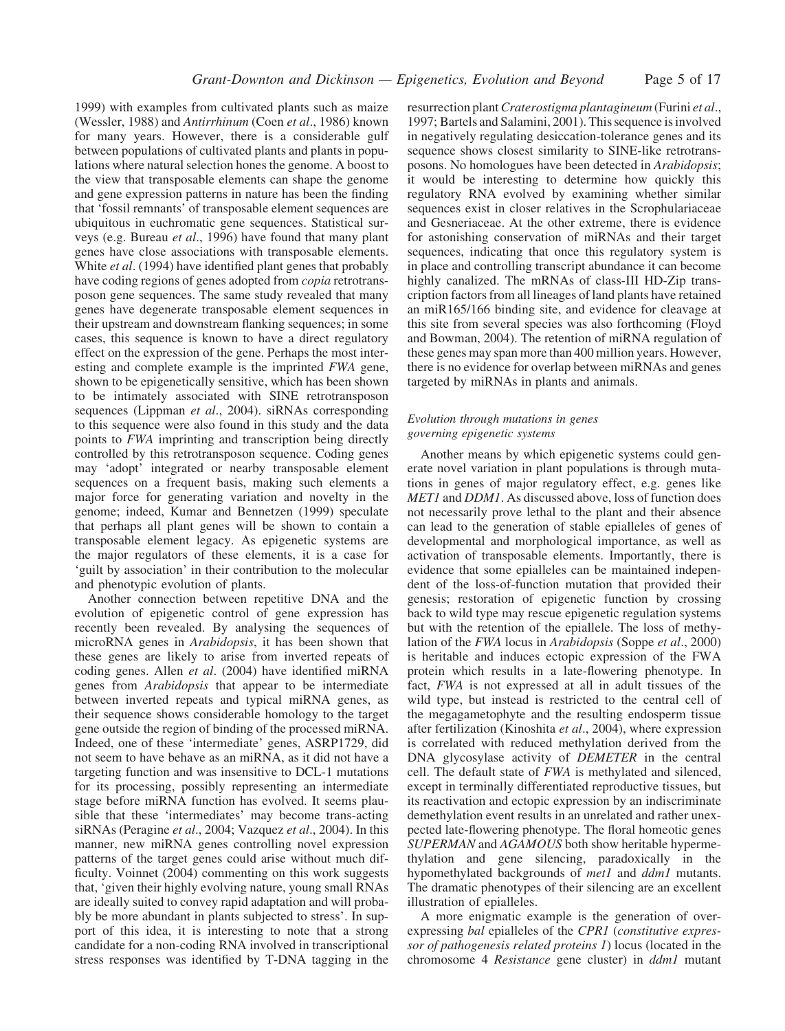1999) with examples from cultivated plants such as maize (Wessler, 1988) and Antirrhinum (Coen et al., 1986) known for many years. However, there is a considerable gulf between populations of cultivated plants and plants in populations where natural selection hones the genome. A boost to the view that transposable elements can shape the genome and gene expression patterns in nature has been the finding that 'fossil remnants' of transposable element sequences are ubiquitous in euchromatic gene sequences. Statistical surveys (e.g. Bureau et al., 1996) have found that many plant genes have close associations with transposable elements. White *et al.* (1994) have identified plant genes that probably have coding regions of genes adopted from copia retrotransposon gene sequences. The same study revealed that many genes have degenerate transposable element sequences in their upstream and downstream flanking sequences; in some cases, this sequence is known to have a direct regulatory effect on the expression of the gene. Perhaps the most interesting and complete example is the imprinted FWA gene, shown to be epigenetically sensitive, which has been shown to be intimately associated with SINE retrotransposon sequences (Lippman et al., 2004). siRNAs corresponding to this sequence were also found in this study and the data points to FWA imprinting and transcription being directly controlled by this retrotransposon sequence. Coding genes may 'adopt' integrated or nearby transposable element sequences on a frequent basis, making such elements a major force for generating variation and novelty in the genome; indeed, Kumar and Bennetzen (1999) speculate that perhaps all plant genes will be shown to contain a transposable element legacy. As epigenetic systems are the major regulators of these elements, it is a case for 'guilt by association' in their contribution to the molecular and phenotypic evolution of plants.

Another connection between repetitive DNA and the evolution of epigenetic control of gene expression has recently been revealed. By analysing the sequences of microRNA genes in Arabidopsis, it has been shown that these genes are likely to arise from inverted repeats of coding genes. Allen et al. (2004) have identified miRNA genes from Arabidopsis that appear to be intermediate between inverted repeats and typical miRNA genes, as their sequence shows considerable homology to the target gene outside the region of binding of the processed miRNA. Indeed, one of these 'intermediate' genes, ASRP1729, did not seem to have behave as an miRNA, as it did not have a targeting function and was insensitive to DCL-1 mutations for its processing, possibly representing an intermediate stage before miRNA function has evolved. It seems plausible that these 'intermediates' may become trans-acting siRNAs (Peragine et al., 2004; Vazquez et al., 2004). In this manner, new miRNA genes controlling novel expression patterns of the target genes could arise without much difficulty. Voinnet (2004) commenting on this work suggests that, 'given their highly evolving nature, young small RNAs are ideally suited to convey rapid adaptation and will probably be more abundant in plants subjected to stress'. In support of this idea, it is interesting to note that a strong candidate for a non-coding RNA involved in transcriptional stress responses was identified by T-DNA tagging in the resurrection plant Craterostigma plantagineum (Furini et al., 1997; Bartels and Salamini, 2001). This sequence is involved in negatively regulating desiccation-tolerance genes and its sequence shows closest similarity to SINE-like retrotransposons. No homologues have been detected in Arabidopsis; it would be interesting to determine how quickly this regulatory RNA evolved by examining whether similar sequences exist in closer relatives in the Scrophulariaceae and Gesneriaceae. At the other extreme, there is evidence for astonishing conservation of miRNAs and their target sequences, indicating that once this regulatory system is in place and controlling transcript abundance it can become highly canalized. The mRNAs of class-III HD-Zip transcription factors from all lineages of land plants have retained an miR165/166 binding site, and evidence for cleavage at this site from several species was also forthcoming (Floyd and Bowman, 2004). The retention of miRNA regulation of these genes may span more than 400 million years. However, there is no evidence for overlap between miRNAs and genes targeted by miRNAs in plants and animals.

## Evolution through mutations in genes governing epigenetic systems

Another means by which epigenetic systems could generate novel variation in plant populations is through mutations in genes of major regulatory effect, e.g. genes like MET1 and DDM1. As discussed above, loss of function does not necessarily prove lethal to the plant and their absence can lead to the generation of stable epialleles of genes of developmental and morphological importance, as well as activation of transposable elements. Importantly, there is evidence that some epialleles can be maintained independent of the loss-of-function mutation that provided their genesis; restoration of epigenetic function by crossing back to wild type may rescue epigenetic regulation systems but with the retention of the epiallele. The loss of methylation of the FWA locus in Arabidopsis (Soppe et al., 2000) is heritable and induces ectopic expression of the FWA protein which results in a late-flowering phenotype. In fact, FWA is not expressed at all in adult tissues of the wild type, but instead is restricted to the central cell of the megagametophyte and the resulting endosperm tissue after fertilization (Kinoshita et al., 2004), where expression is correlated with reduced methylation derived from the DNA glycosylase activity of *DEMETER* in the central cell. The default state of FWA is methylated and silenced, except in terminally differentiated reproductive tissues, but its reactivation and ectopic expression by an indiscriminate demethylation event results in an unrelated and rather unexpected late-flowering phenotype. The floral homeotic genes SUPERMAN and AGAMOUS both show heritable hypermethylation and gene silencing, paradoxically in the hypomethylated backgrounds of met1 and ddm1 mutants. The dramatic phenotypes of their silencing are an excellent illustration of epialleles.

A more enigmatic example is the generation of overexpressing bal epialleles of the CPR1 (constitutive expressor of pathogenesis related proteins 1) locus (located in the chromosome 4 Resistance gene cluster) in ddm1 mutant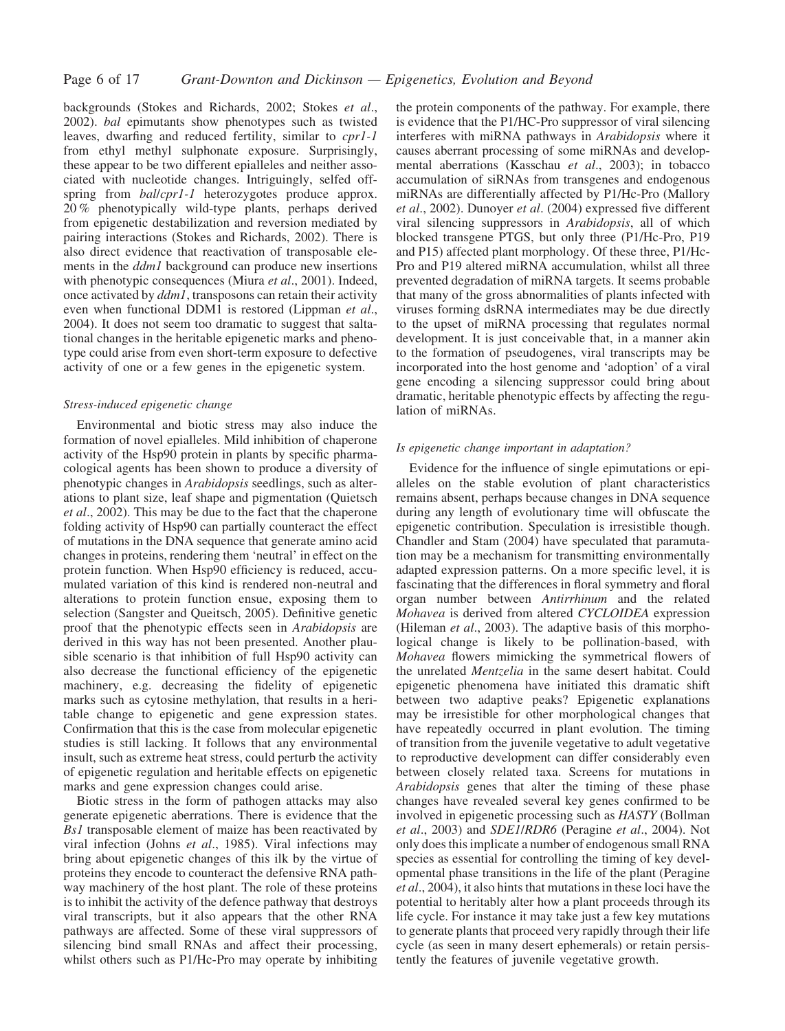backgrounds (Stokes and Richards, 2002; Stokes et al., 2002). bal epimutants show phenotypes such as twisted leaves, dwarfing and reduced fertility, similar to cpr1-1 from ethyl methyl sulphonate exposure. Surprisingly, these appear to be two different epialleles and neither associated with nucleotide changes. Intriguingly, selfed offspring from *ballcpr1-1* heterozygotes produce approx. 20 % phenotypically wild-type plants, perhaps derived from epigenetic destabilization and reversion mediated by pairing interactions (Stokes and Richards, 2002). There is also direct evidence that reactivation of transposable elements in the *ddm1* background can produce new insertions with phenotypic consequences (Miura et al., 2001). Indeed, once activated by ddm1, transposons can retain their activity even when functional DDM1 is restored (Lippman et al., 2004). It does not seem too dramatic to suggest that saltational changes in the heritable epigenetic marks and phenotype could arise from even short-term exposure to defective activity of one or a few genes in the epigenetic system.

#### Stress-induced epigenetic change

Environmental and biotic stress may also induce the formation of novel epialleles. Mild inhibition of chaperone activity of the Hsp90 protein in plants by specific pharmacological agents has been shown to produce a diversity of phenotypic changes in Arabidopsis seedlings, such as alterations to plant size, leaf shape and pigmentation (Quietsch et al., 2002). This may be due to the fact that the chaperone folding activity of Hsp90 can partially counteract the effect of mutations in the DNA sequence that generate amino acid changes in proteins, rendering them 'neutral' in effect on the protein function. When Hsp90 efficiency is reduced, accumulated variation of this kind is rendered non-neutral and alterations to protein function ensue, exposing them to selection (Sangster and Queitsch, 2005). Definitive genetic proof that the phenotypic effects seen in Arabidopsis are derived in this way has not been presented. Another plausible scenario is that inhibition of full Hsp90 activity can also decrease the functional efficiency of the epigenetic machinery, e.g. decreasing the fidelity of epigenetic marks such as cytosine methylation, that results in a heritable change to epigenetic and gene expression states. Confirmation that this is the case from molecular epigenetic studies is still lacking. It follows that any environmental insult, such as extreme heat stress, could perturb the activity of epigenetic regulation and heritable effects on epigenetic marks and gene expression changes could arise.

Biotic stress in the form of pathogen attacks may also generate epigenetic aberrations. There is evidence that the Bs1 transposable element of maize has been reactivated by viral infection (Johns et al., 1985). Viral infections may bring about epigenetic changes of this ilk by the virtue of proteins they encode to counteract the defensive RNA pathway machinery of the host plant. The role of these proteins is to inhibit the activity of the defence pathway that destroys viral transcripts, but it also appears that the other RNA pathways are affected. Some of these viral suppressors of silencing bind small RNAs and affect their processing, whilst others such as P1/Hc-Pro may operate by inhibiting the protein components of the pathway. For example, there is evidence that the P1/HC-Pro suppressor of viral silencing interferes with miRNA pathways in Arabidopsis where it causes aberrant processing of some miRNAs and developmental aberrations (Kasschau et al., 2003); in tobacco accumulation of siRNAs from transgenes and endogenous miRNAs are differentially affected by P1/Hc-Pro (Mallory et al., 2002). Dunoyer et al. (2004) expressed five different viral silencing suppressors in Arabidopsis, all of which blocked transgene PTGS, but only three (P1/Hc-Pro, P19 and P15) affected plant morphology. Of these three, P1/Hc-Pro and P19 altered miRNA accumulation, whilst all three prevented degradation of miRNA targets. It seems probable that many of the gross abnormalities of plants infected with viruses forming dsRNA intermediates may be due directly to the upset of miRNA processing that regulates normal development. It is just conceivable that, in a manner akin to the formation of pseudogenes, viral transcripts may be incorporated into the host genome and 'adoption' of a viral gene encoding a silencing suppressor could bring about dramatic, heritable phenotypic effects by affecting the regulation of miRNAs.

### Is epigenetic change important in adaptation?

Evidence for the influence of single epimutations or epialleles on the stable evolution of plant characteristics remains absent, perhaps because changes in DNA sequence during any length of evolutionary time will obfuscate the epigenetic contribution. Speculation is irresistible though. Chandler and Stam (2004) have speculated that paramutation may be a mechanism for transmitting environmentally adapted expression patterns. On a more specific level, it is fascinating that the differences in floral symmetry and floral organ number between Antirrhinum and the related Mohavea is derived from altered CYCLOIDEA expression (Hileman et al., 2003). The adaptive basis of this morphological change is likely to be pollination-based, with Mohavea flowers mimicking the symmetrical flowers of the unrelated Mentzelia in the same desert habitat. Could epigenetic phenomena have initiated this dramatic shift between two adaptive peaks? Epigenetic explanations may be irresistible for other morphological changes that have repeatedly occurred in plant evolution. The timing of transition from the juvenile vegetative to adult vegetative to reproductive development can differ considerably even between closely related taxa. Screens for mutations in Arabidopsis genes that alter the timing of these phase changes have revealed several key genes confirmed to be involved in epigenetic processing such as HASTY (Bollman et al., 2003) and SDE1/RDR6 (Peragine et al., 2004). Not only does this implicate a number of endogenous small RNA species as essential for controlling the timing of key developmental phase transitions in the life of the plant (Peragine et al., 2004), it also hints that mutations in these loci have the potential to heritably alter how a plant proceeds through its life cycle. For instance it may take just a few key mutations to generate plants that proceed very rapidly through their life cycle (as seen in many desert ephemerals) or retain persistently the features of juvenile vegetative growth.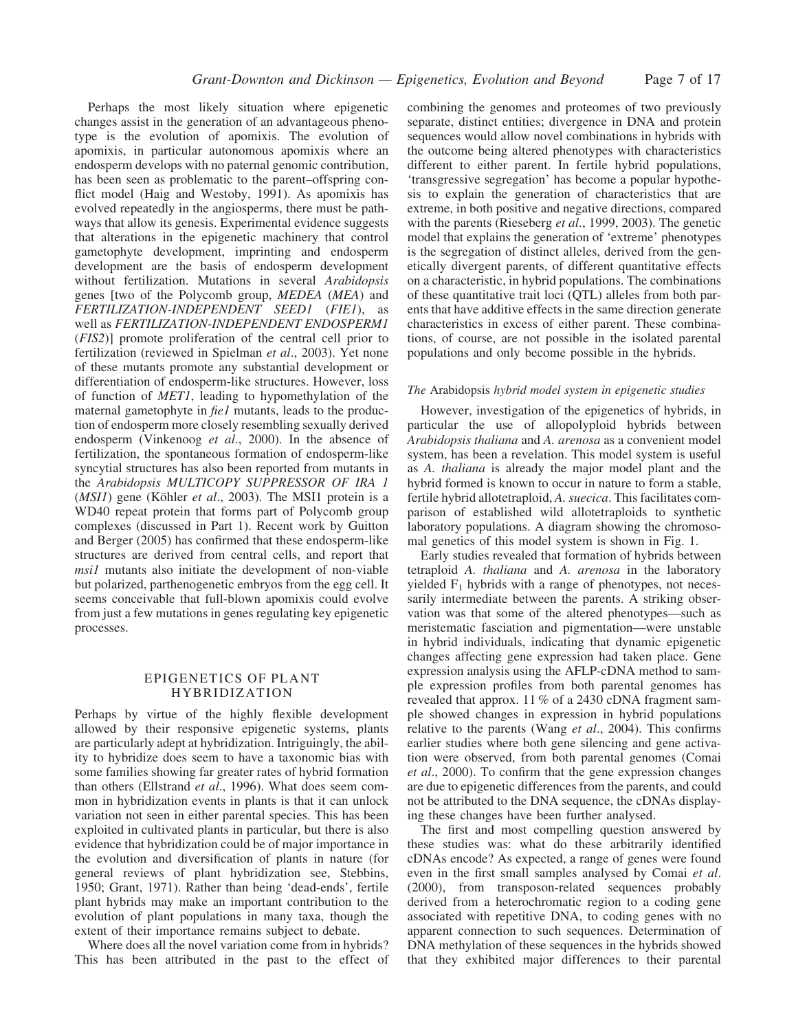Perhaps the most likely situation where epigenetic changes assist in the generation of an advantageous phenotype is the evolution of apomixis. The evolution of apomixis, in particular autonomous apomixis where an endosperm develops with no paternal genomic contribution, has been seen as problematic to the parent–offspring conflict model (Haig and Westoby, 1991). As apomixis has evolved repeatedly in the angiosperms, there must be pathways that allow its genesis. Experimental evidence suggests that alterations in the epigenetic machinery that control gametophyte development, imprinting and endosperm development are the basis of endosperm development without fertilization. Mutations in several Arabidopsis genes [two of the Polycomb group, MEDEA (MEA) and FERTILIZATION-INDEPENDENT SEED1 (FIE1), as well as FERTILIZATION-INDEPENDENT ENDOSPERM1 (FIS2)] promote proliferation of the central cell prior to fertilization (reviewed in Spielman et al., 2003). Yet none of these mutants promote any substantial development or differentiation of endosperm-like structures. However, loss of function of MET1, leading to hypomethylation of the maternal gametophyte in *fiel* mutants, leads to the production of endosperm more closely resembling sexually derived endosperm (Vinkenoog et al., 2000). In the absence of fertilization, the spontaneous formation of endosperm-like syncytial structures has also been reported from mutants in the Arabidopsis MULTICOPY SUPPRESSOR OF IRA 1  $(MSII)$  gene (Köhler *et al.*, 2003). The MSI1 protein is a WD40 repeat protein that forms part of Polycomb group complexes (discussed in Part 1). Recent work by Guitton and Berger (2005) has confirmed that these endosperm-like structures are derived from central cells, and report that msi1 mutants also initiate the development of non-viable but polarized, parthenogenetic embryos from the egg cell. It seems conceivable that full-blown apomixis could evolve from just a few mutations in genes regulating key epigenetic processes.

# EPIGENETICS OF PLANT HYBRIDIZATION

Perhaps by virtue of the highly flexible development allowed by their responsive epigenetic systems, plants are particularly adept at hybridization. Intriguingly, the ability to hybridize does seem to have a taxonomic bias with some families showing far greater rates of hybrid formation than others (Ellstrand et al., 1996). What does seem common in hybridization events in plants is that it can unlock variation not seen in either parental species. This has been exploited in cultivated plants in particular, but there is also evidence that hybridization could be of major importance in the evolution and diversification of plants in nature (for general reviews of plant hybridization see, Stebbins, 1950; Grant, 1971). Rather than being 'dead-ends', fertile plant hybrids may make an important contribution to the evolution of plant populations in many taxa, though the extent of their importance remains subject to debate.

Where does all the novel variation come from in hybrids? This has been attributed in the past to the effect of combining the genomes and proteomes of two previously separate, distinct entities; divergence in DNA and protein sequences would allow novel combinations in hybrids with the outcome being altered phenotypes with characteristics different to either parent. In fertile hybrid populations, 'transgressive segregation' has become a popular hypothesis to explain the generation of characteristics that are extreme, in both positive and negative directions, compared with the parents (Rieseberg *et al.*, 1999, 2003). The genetic model that explains the generation of 'extreme' phenotypes is the segregation of distinct alleles, derived from the genetically divergent parents, of different quantitative effects on a characteristic, in hybrid populations. The combinations of these quantitative trait loci (QTL) alleles from both parents that have additive effects in the same direction generate characteristics in excess of either parent. These combinations, of course, are not possible in the isolated parental populations and only become possible in the hybrids.

#### The Arabidopsis hybrid model system in epigenetic studies

However, investigation of the epigenetics of hybrids, in particular the use of allopolyploid hybrids between Arabidopsis thaliana and A. arenosa as a convenient model system, has been a revelation. This model system is useful as A. thaliana is already the major model plant and the hybrid formed is known to occur in nature to form a stable, fertile hybrid allotetraploid, A. suecica. This facilitates comparison of established wild allotetraploids to synthetic laboratory populations. A diagram showing the chromosomal genetics of this model system is shown in Fig. 1.

Early studies revealed that formation of hybrids between tetraploid A. thaliana and A. arenosa in the laboratory yielded  $F_1$  hybrids with a range of phenotypes, not necessarily intermediate between the parents. A striking observation was that some of the altered phenotypes—such as meristematic fasciation and pigmentation—were unstable in hybrid individuals, indicating that dynamic epigenetic changes affecting gene expression had taken place. Gene expression analysis using the AFLP-cDNA method to sample expression profiles from both parental genomes has revealed that approx. 11 % of a 2430 cDNA fragment sample showed changes in expression in hybrid populations relative to the parents (Wang et al., 2004). This confirms earlier studies where both gene silencing and gene activation were observed, from both parental genomes (Comai et al., 2000). To confirm that the gene expression changes are due to epigenetic differences from the parents, and could not be attributed to the DNA sequence, the cDNAs displaying these changes have been further analysed.

The first and most compelling question answered by these studies was: what do these arbitrarily identified cDNAs encode? As expected, a range of genes were found even in the first small samples analysed by Comai et al. (2000), from transposon-related sequences probably derived from a heterochromatic region to a coding gene associated with repetitive DNA, to coding genes with no apparent connection to such sequences. Determination of DNA methylation of these sequences in the hybrids showed that they exhibited major differences to their parental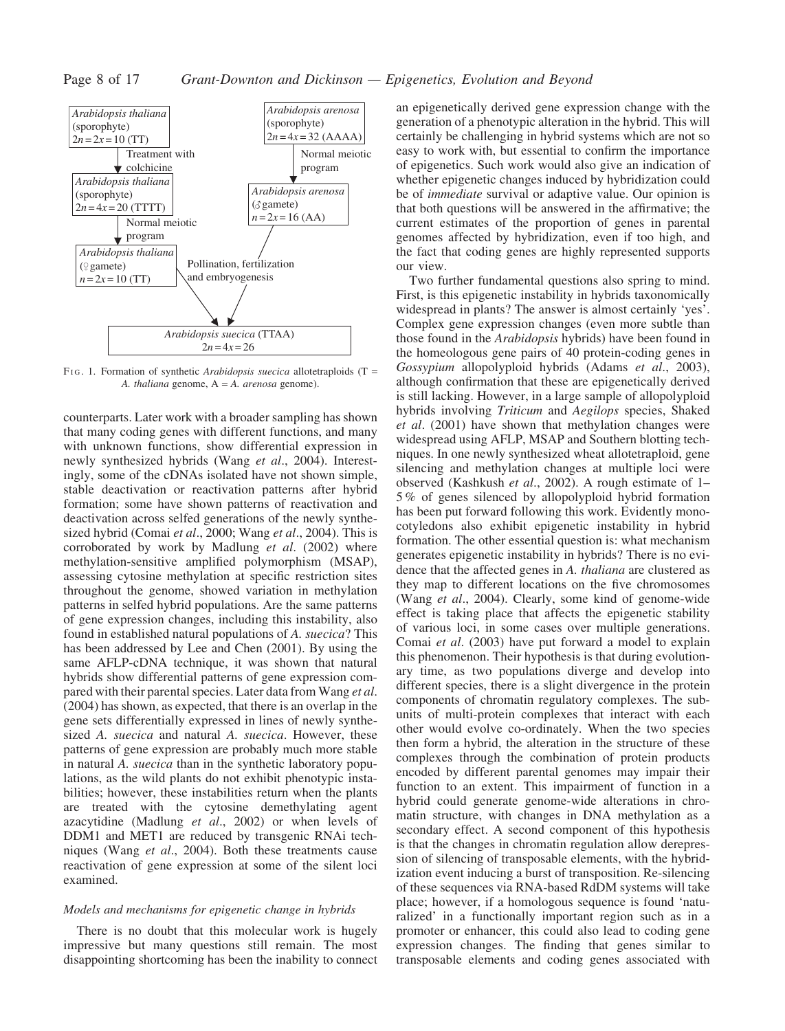

F1G. 1. Formation of synthetic Arabidopsis suecica allotetraploids (T = A. thaliana genome,  $A = A$ . arenosa genome).

counterparts. Later work with a broader sampling has shown that many coding genes with different functions, and many with unknown functions, show differential expression in newly synthesized hybrids (Wang et al., 2004). Interestingly, some of the cDNAs isolated have not shown simple, stable deactivation or reactivation patterns after hybrid formation; some have shown patterns of reactivation and deactivation across selfed generations of the newly synthesized hybrid (Comai et al., 2000; Wang et al., 2004). This is corroborated by work by Madlung et al. (2002) where methylation-sensitive amplified polymorphism (MSAP), assessing cytosine methylation at specific restriction sites throughout the genome, showed variation in methylation patterns in selfed hybrid populations. Are the same patterns of gene expression changes, including this instability, also found in established natural populations of A. suecica? This has been addressed by Lee and Chen (2001). By using the same AFLP-cDNA technique, it was shown that natural hybrids show differential patterns of gene expression compared with their parental species. Later data from Wang et al. (2004) has shown, as expected, that there is an overlap in the gene sets differentially expressed in lines of newly synthesized A. suecica and natural A. suecica. However, these patterns of gene expression are probably much more stable in natural A. suecica than in the synthetic laboratory populations, as the wild plants do not exhibit phenotypic instabilities; however, these instabilities return when the plants are treated with the cytosine demethylating agent azacytidine (Madlung et al., 2002) or when levels of DDM1 and MET1 are reduced by transgenic RNAi techniques (Wang et al., 2004). Both these treatments cause reactivation of gene expression at some of the silent loci examined.

#### Models and mechanisms for epigenetic change in hybrids

There is no doubt that this molecular work is hugely impressive but many questions still remain. The most disappointing shortcoming has been the inability to connect an epigenetically derived gene expression change with the generation of a phenotypic alteration in the hybrid. This will certainly be challenging in hybrid systems which are not so easy to work with, but essential to confirm the importance of epigenetics. Such work would also give an indication of whether epigenetic changes induced by hybridization could be of immediate survival or adaptive value. Our opinion is that both questions will be answered in the affirmative; the current estimates of the proportion of genes in parental genomes affected by hybridization, even if too high, and the fact that coding genes are highly represented supports our view.

Two further fundamental questions also spring to mind. First, is this epigenetic instability in hybrids taxonomically widespread in plants? The answer is almost certainly 'yes'. Complex gene expression changes (even more subtle than those found in the Arabidopsis hybrids) have been found in the homeologous gene pairs of 40 protein-coding genes in Gossypium allopolyploid hybrids (Adams et al., 2003), although confirmation that these are epigenetically derived is still lacking. However, in a large sample of allopolyploid hybrids involving Triticum and Aegilops species, Shaked et al. (2001) have shown that methylation changes were widespread using AFLP, MSAP and Southern blotting techniques. In one newly synthesized wheat allotetraploid, gene silencing and methylation changes at multiple loci were observed (Kashkush et al., 2002). A rough estimate of 1– 5 % of genes silenced by allopolyploid hybrid formation has been put forward following this work. Evidently monocotyledons also exhibit epigenetic instability in hybrid formation. The other essential question is: what mechanism generates epigenetic instability in hybrids? There is no evidence that the affected genes in A. thaliana are clustered as they map to different locations on the five chromosomes (Wang et al., 2004). Clearly, some kind of genome-wide effect is taking place that affects the epigenetic stability of various loci, in some cases over multiple generations. Comai et al. (2003) have put forward a model to explain this phenomenon. Their hypothesis is that during evolutionary time, as two populations diverge and develop into different species, there is a slight divergence in the protein components of chromatin regulatory complexes. The subunits of multi-protein complexes that interact with each other would evolve co-ordinately. When the two species then form a hybrid, the alteration in the structure of these complexes through the combination of protein products encoded by different parental genomes may impair their function to an extent. This impairment of function in a hybrid could generate genome-wide alterations in chromatin structure, with changes in DNA methylation as a secondary effect. A second component of this hypothesis is that the changes in chromatin regulation allow derepression of silencing of transposable elements, with the hybridization event inducing a burst of transposition. Re-silencing of these sequences via RNA-based RdDM systems will take place; however, if a homologous sequence is found 'naturalized' in a functionally important region such as in a promoter or enhancer, this could also lead to coding gene expression changes. The finding that genes similar to transposable elements and coding genes associated with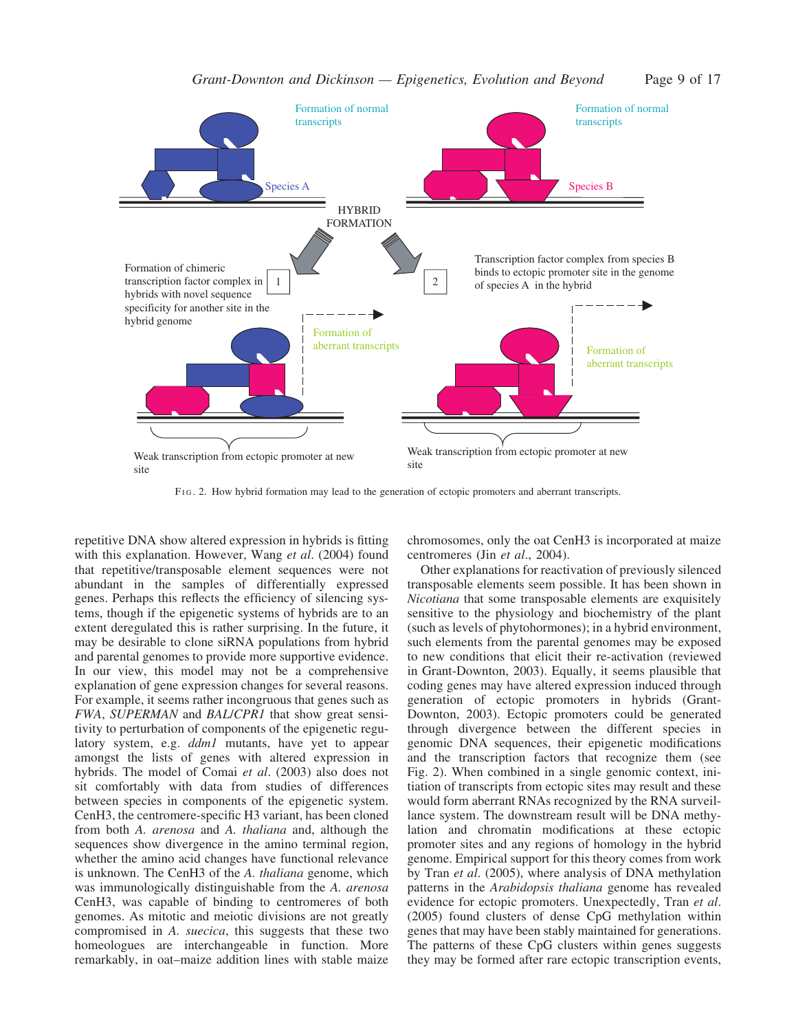

FI G . 2. How hybrid formation may lead to the generation of ectopic promoters and aberrant transcripts.

repetitive DNA show altered expression in hybrids is fitting with this explanation. However, Wang *et al.* (2004) found that repetitive/transposable element sequences were not abundant in the samples of differentially expressed genes. Perhaps this reflects the efficiency of silencing systems, though if the epigenetic systems of hybrids are to an extent deregulated this is rather surprising. In the future, it may be desirable to clone siRNA populations from hybrid and parental genomes to provide more supportive evidence. In our view, this model may not be a comprehensive explanation of gene expression changes for several reasons. For example, it seems rather incongruous that genes such as FWA, SUPERMAN and BAL/CPR1 that show great sensitivity to perturbation of components of the epigenetic regulatory system, e.g. ddm1 mutants, have yet to appear amongst the lists of genes with altered expression in hybrids. The model of Comai et al. (2003) also does not sit comfortably with data from studies of differences between species in components of the epigenetic system. CenH3, the centromere-specific H3 variant, has been cloned from both A. arenosa and A. thaliana and, although the sequences show divergence in the amino terminal region, whether the amino acid changes have functional relevance is unknown. The CenH3 of the A. thaliana genome, which was immunologically distinguishable from the A. arenosa CenH3, was capable of binding to centromeres of both genomes. As mitotic and meiotic divisions are not greatly compromised in A. suecica, this suggests that these two homeologues are interchangeable in function. More remarkably, in oat–maize addition lines with stable maize

chromosomes, only the oat CenH3 is incorporated at maize centromeres (Jin et al., 2004).

Other explanations for reactivation of previously silenced transposable elements seem possible. It has been shown in Nicotiana that some transposable elements are exquisitely sensitive to the physiology and biochemistry of the plant (such as levels of phytohormones); in a hybrid environment, such elements from the parental genomes may be exposed to new conditions that elicit their re-activation (reviewed in Grant-Downton, 2003). Equally, it seems plausible that coding genes may have altered expression induced through generation of ectopic promoters in hybrids (Grant-Downton, 2003). Ectopic promoters could be generated through divergence between the different species in genomic DNA sequences, their epigenetic modifications and the transcription factors that recognize them (see Fig. 2). When combined in a single genomic context, initiation of transcripts from ectopic sites may result and these would form aberrant RNAs recognized by the RNA surveillance system. The downstream result will be DNA methylation and chromatin modifications at these ectopic promoter sites and any regions of homology in the hybrid genome. Empirical support for this theory comes from work by Tran et al. (2005), where analysis of DNA methylation patterns in the Arabidopsis thaliana genome has revealed evidence for ectopic promoters. Unexpectedly, Tran et al. (2005) found clusters of dense CpG methylation within genes that may have been stably maintained for generations. The patterns of these CpG clusters within genes suggests they may be formed after rare ectopic transcription events,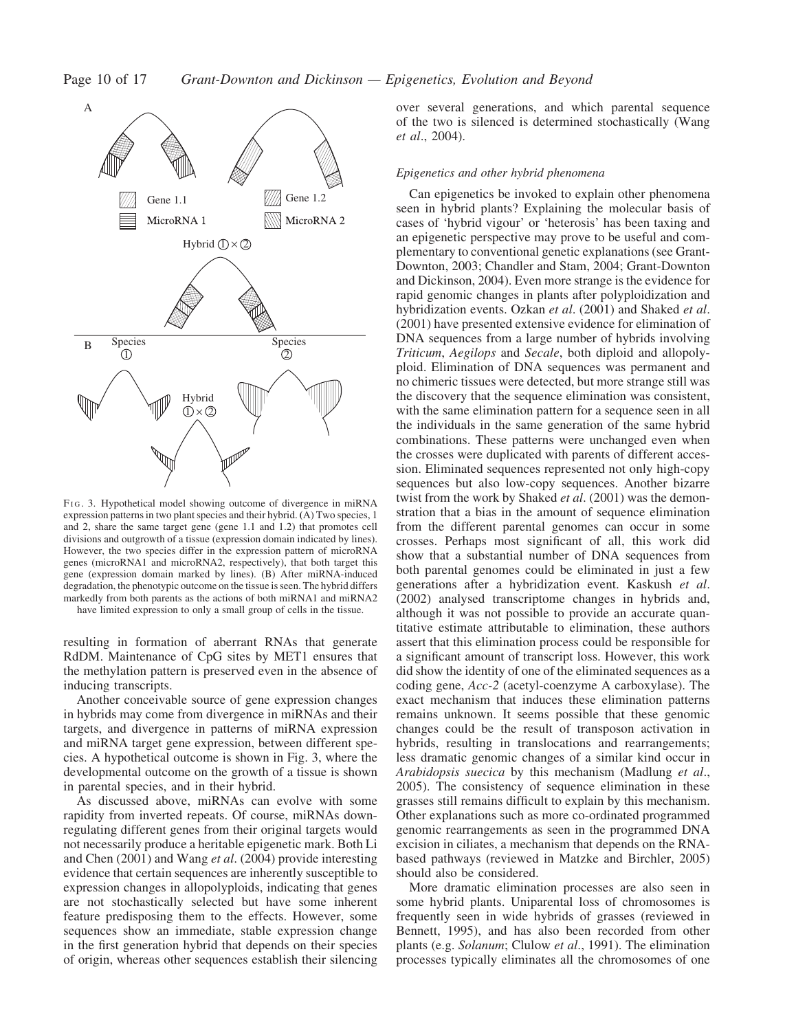

F1G. 3. Hypothetical model showing outcome of divergence in miRNA expression patterns in two plant species and their hybrid. (A) Two species, 1 and 2, share the same target gene (gene 1.1 and 1.2) that promotes cell divisions and outgrowth of a tissue (expression domain indicated by lines). However, the two species differ in the expression pattern of microRNA genes (microRNA1 and microRNA2, respectively), that both target this gene (expression domain marked by lines). (B) After miRNA-induced degradation, the phenotypic outcome on the tissue is seen. The hybrid differs markedly from both parents as the actions of both miRNA1 and miRNA2

have limited expression to only a small group of cells in the tissue.

resulting in formation of aberrant RNAs that generate RdDM. Maintenance of CpG sites by MET1 ensures that the methylation pattern is preserved even in the absence of inducing transcripts.

Another conceivable source of gene expression changes in hybrids may come from divergence in miRNAs and their targets, and divergence in patterns of miRNA expression and miRNA target gene expression, between different species. A hypothetical outcome is shown in Fig. 3, where the developmental outcome on the growth of a tissue is shown in parental species, and in their hybrid.

As discussed above, miRNAs can evolve with some rapidity from inverted repeats. Of course, miRNAs downregulating different genes from their original targets would not necessarily produce a heritable epigenetic mark. Both Li and Chen (2001) and Wang et al. (2004) provide interesting evidence that certain sequences are inherently susceptible to expression changes in allopolyploids, indicating that genes are not stochastically selected but have some inherent feature predisposing them to the effects. However, some sequences show an immediate, stable expression change in the first generation hybrid that depends on their species of origin, whereas other sequences establish their silencing over several generations, and which parental sequence of the two is silenced is determined stochastically (Wang et al., 2004).

#### Epigenetics and other hybrid phenomena

Can epigenetics be invoked to explain other phenomena seen in hybrid plants? Explaining the molecular basis of cases of 'hybrid vigour' or 'heterosis' has been taxing and an epigenetic perspective may prove to be useful and complementary to conventional genetic explanations (see Grant-Downton, 2003; Chandler and Stam, 2004; Grant-Downton and Dickinson, 2004). Even more strange is the evidence for rapid genomic changes in plants after polyploidization and hybridization events. Ozkan et al. (2001) and Shaked et al. (2001) have presented extensive evidence for elimination of DNA sequences from a large number of hybrids involving Triticum, Aegilops and Secale, both diploid and allopolyploid. Elimination of DNA sequences was permanent and no chimeric tissues were detected, but more strange still was the discovery that the sequence elimination was consistent, with the same elimination pattern for a sequence seen in all the individuals in the same generation of the same hybrid combinations. These patterns were unchanged even when the crosses were duplicated with parents of different accession. Eliminated sequences represented not only high-copy sequences but also low-copy sequences. Another bizarre twist from the work by Shaked *et al.* (2001) was the demonstration that a bias in the amount of sequence elimination from the different parental genomes can occur in some crosses. Perhaps most significant of all, this work did show that a substantial number of DNA sequences from both parental genomes could be eliminated in just a few generations after a hybridization event. Kaskush et al. (2002) analysed transcriptome changes in hybrids and, although it was not possible to provide an accurate quantitative estimate attributable to elimination, these authors assert that this elimination process could be responsible for a significant amount of transcript loss. However, this work did show the identity of one of the eliminated sequences as a coding gene, Acc-2 (acetyl-coenzyme A carboxylase). The exact mechanism that induces these elimination patterns remains unknown. It seems possible that these genomic changes could be the result of transposon activation in hybrids, resulting in translocations and rearrangements; less dramatic genomic changes of a similar kind occur in Arabidopsis suecica by this mechanism (Madlung et al., 2005). The consistency of sequence elimination in these grasses still remains difficult to explain by this mechanism. Other explanations such as more co-ordinated programmed genomic rearrangements as seen in the programmed DNA excision in ciliates, a mechanism that depends on the RNAbased pathways (reviewed in Matzke and Birchler, 2005) should also be considered.

More dramatic elimination processes are also seen in some hybrid plants. Uniparental loss of chromosomes is frequently seen in wide hybrids of grasses (reviewed in Bennett, 1995), and has also been recorded from other plants (e.g. Solanum; Clulow et al., 1991). The elimination processes typically eliminates all the chromosomes of one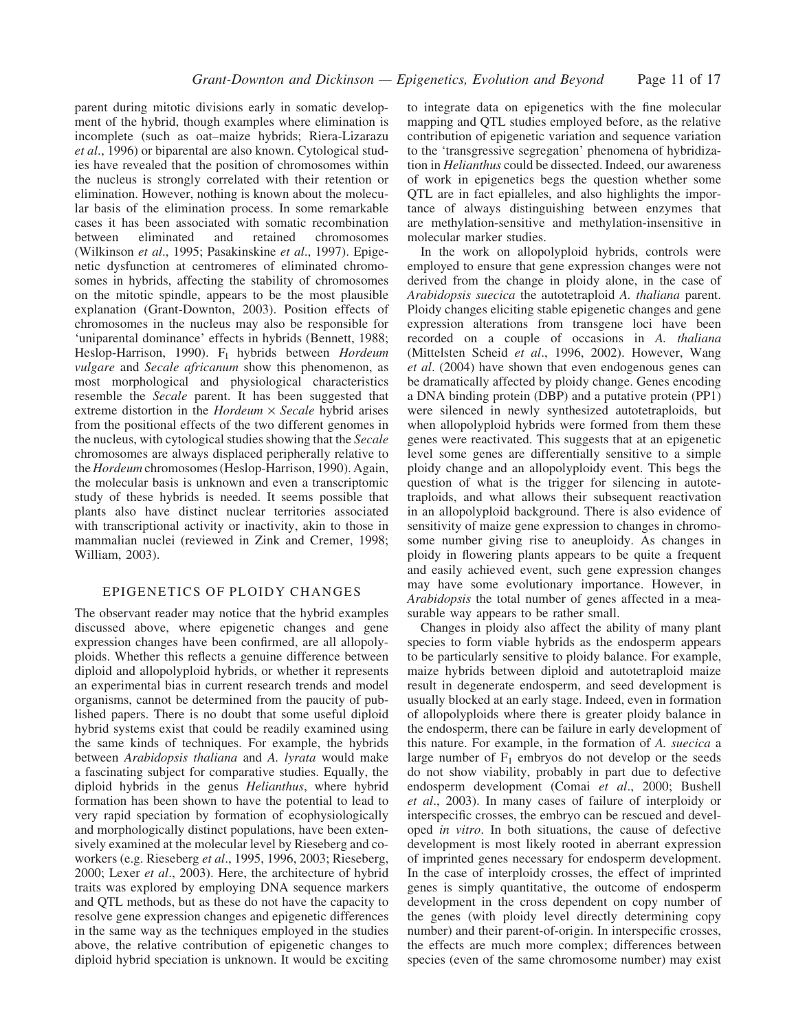parent during mitotic divisions early in somatic development of the hybrid, though examples where elimination is incomplete (such as oat–maize hybrids; Riera-Lizarazu et al., 1996) or biparental are also known. Cytological studies have revealed that the position of chromosomes within the nucleus is strongly correlated with their retention or elimination. However, nothing is known about the molecular basis of the elimination process. In some remarkable cases it has been associated with somatic recombination between eliminated and retained chromosomes (Wilkinson et al., 1995; Pasakinskine et al., 1997). Epigenetic dysfunction at centromeres of eliminated chromosomes in hybrids, affecting the stability of chromosomes on the mitotic spindle, appears to be the most plausible explanation (Grant-Downton, 2003). Position effects of chromosomes in the nucleus may also be responsible for 'uniparental dominance' effects in hybrids (Bennett, 1988; Heslop-Harrison, 1990).  $F_1$  hybrids between *Hordeum* vulgare and Secale africanum show this phenomenon, as most morphological and physiological characteristics resemble the Secale parent. It has been suggested that extreme distortion in the *Hordeum*  $\times$  *Secale* hybrid arises from the positional effects of the two different genomes in the nucleus, with cytological studies showing that the Secale chromosomes are always displaced peripherally relative to the Hordeum chromosomes (Heslop-Harrison, 1990). Again, the molecular basis is unknown and even a transcriptomic study of these hybrids is needed. It seems possible that plants also have distinct nuclear territories associated with transcriptional activity or inactivity, akin to those in mammalian nuclei (reviewed in Zink and Cremer, 1998; William, 2003).

# EPIGENETICS OF PLOIDY CHANGES

The observant reader may notice that the hybrid examples discussed above, where epigenetic changes and gene expression changes have been confirmed, are all allopolyploids. Whether this reflects a genuine difference between diploid and allopolyploid hybrids, or whether it represents an experimental bias in current research trends and model organisms, cannot be determined from the paucity of published papers. There is no doubt that some useful diploid hybrid systems exist that could be readily examined using the same kinds of techniques. For example, the hybrids between Arabidopsis thaliana and A. lyrata would make a fascinating subject for comparative studies. Equally, the diploid hybrids in the genus Helianthus, where hybrid formation has been shown to have the potential to lead to very rapid speciation by formation of ecophysiologically and morphologically distinct populations, have been extensively examined at the molecular level by Rieseberg and coworkers (e.g. Rieseberg et al., 1995, 1996, 2003; Rieseberg, 2000; Lexer et al., 2003). Here, the architecture of hybrid traits was explored by employing DNA sequence markers and QTL methods, but as these do not have the capacity to resolve gene expression changes and epigenetic differences in the same way as the techniques employed in the studies above, the relative contribution of epigenetic changes to diploid hybrid speciation is unknown. It would be exciting to integrate data on epigenetics with the fine molecular mapping and QTL studies employed before, as the relative contribution of epigenetic variation and sequence variation to the 'transgressive segregation' phenomena of hybridization in Helianthus could be dissected. Indeed, our awareness of work in epigenetics begs the question whether some QTL are in fact epialleles, and also highlights the importance of always distinguishing between enzymes that are methylation-sensitive and methylation-insensitive in molecular marker studies.

In the work on allopolyploid hybrids, controls were employed to ensure that gene expression changes were not derived from the change in ploidy alone, in the case of Arabidopsis suecica the autotetraploid A. thaliana parent. Ploidy changes eliciting stable epigenetic changes and gene expression alterations from transgene loci have been recorded on a couple of occasions in A. thaliana (Mittelsten Scheid et al., 1996, 2002). However, Wang et al. (2004) have shown that even endogenous genes can be dramatically affected by ploidy change. Genes encoding a DNA binding protein (DBP) and a putative protein (PP1) were silenced in newly synthesized autotetraploids, but when allopolyploid hybrids were formed from them these genes were reactivated. This suggests that at an epigenetic level some genes are differentially sensitive to a simple ploidy change and an allopolyploidy event. This begs the question of what is the trigger for silencing in autotetraploids, and what allows their subsequent reactivation in an allopolyploid background. There is also evidence of sensitivity of maize gene expression to changes in chromosome number giving rise to aneuploidy. As changes in ploidy in flowering plants appears to be quite a frequent and easily achieved event, such gene expression changes may have some evolutionary importance. However, in Arabidopsis the total number of genes affected in a measurable way appears to be rather small.

Changes in ploidy also affect the ability of many plant species to form viable hybrids as the endosperm appears to be particularly sensitive to ploidy balance. For example, maize hybrids between diploid and autotetraploid maize result in degenerate endosperm, and seed development is usually blocked at an early stage. Indeed, even in formation of allopolyploids where there is greater ploidy balance in the endosperm, there can be failure in early development of this nature. For example, in the formation of A. suecica a large number of  $F_1$  embryos do not develop or the seeds do not show viability, probably in part due to defective endosperm development (Comai et al., 2000; Bushell et al., 2003). In many cases of failure of interploidy or interspecific crosses, the embryo can be rescued and developed in vitro. In both situations, the cause of defective development is most likely rooted in aberrant expression of imprinted genes necessary for endosperm development. In the case of interploidy crosses, the effect of imprinted genes is simply quantitative, the outcome of endosperm development in the cross dependent on copy number of the genes (with ploidy level directly determining copy number) and their parent-of-origin. In interspecific crosses, the effects are much more complex; differences between species (even of the same chromosome number) may exist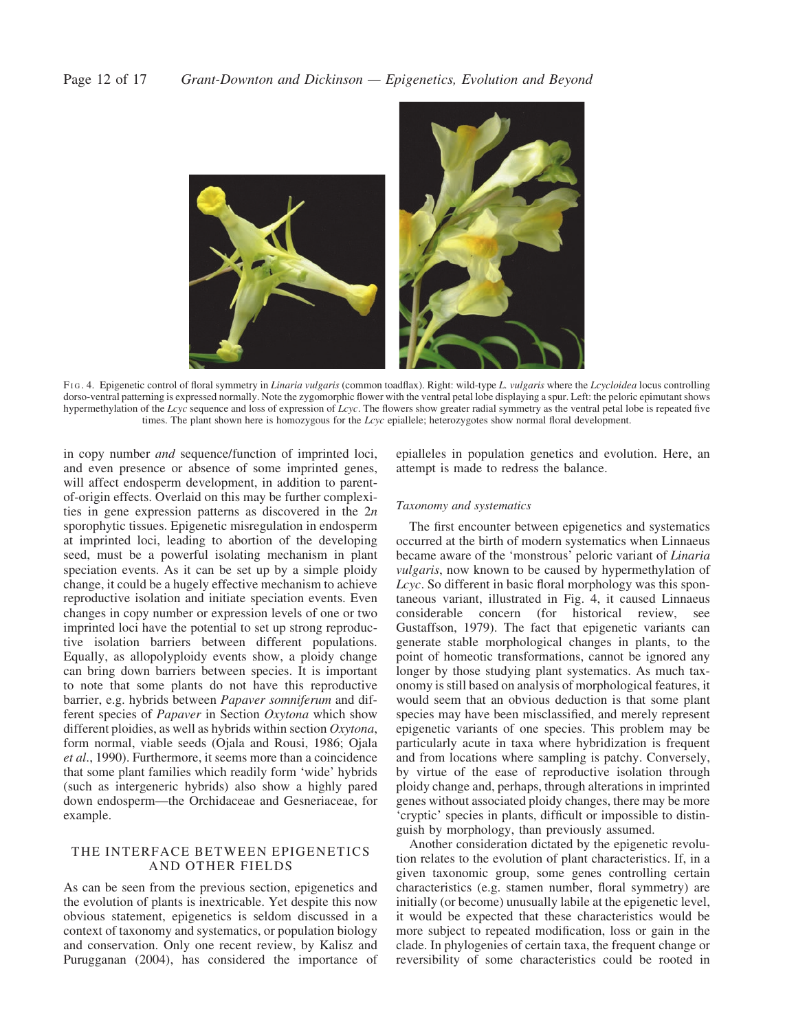

F1G. 4. Epigenetic control of floral symmetry in Linaria vulgaris (common toadflax). Right: wild-type L. vulgaris where the Lcycloidea locus controlling dorso-ventral patterning is expressed normally. Note the zygomorphic flower with the ventral petal lobe displaying a spur. Left: the peloric epimutant shows hypermethylation of the Lcyc sequence and loss of expression of Lcyc. The flowers show greater radial symmetry as the ventral petal lobe is repeated five times. The plant shown here is homozygous for the *Lcyc* epiallele; heterozygotes show normal floral development.

in copy number and sequence/function of imprinted loci, and even presence or absence of some imprinted genes, will affect endosperm development, in addition to parentof-origin effects. Overlaid on this may be further complexities in gene expression patterns as discovered in the  $2n$ sporophytic tissues. Epigenetic misregulation in endosperm at imprinted loci, leading to abortion of the developing seed, must be a powerful isolating mechanism in plant speciation events. As it can be set up by a simple ploidy change, it could be a hugely effective mechanism to achieve reproductive isolation and initiate speciation events. Even changes in copy number or expression levels of one or two imprinted loci have the potential to set up strong reproductive isolation barriers between different populations. Equally, as allopolyploidy events show, a ploidy change can bring down barriers between species. It is important to note that some plants do not have this reproductive barrier, e.g. hybrids between Papaver somniferum and different species of Papaver in Section Oxytona which show different ploidies, as well as hybrids within section Oxytona, form normal, viable seeds (Ojala and Rousi, 1986; Ojala et al., 1990). Furthermore, it seems more than a coincidence that some plant families which readily form 'wide' hybrids (such as intergeneric hybrids) also show a highly pared down endosperm—the Orchidaceae and Gesneriaceae, for example.

## THE INTERFACE BETWEEN EPIGENETICS AND OTHER FIELDS

As can be seen from the previous section, epigenetics and the evolution of plants is inextricable. Yet despite this now obvious statement, epigenetics is seldom discussed in a context of taxonomy and systematics, or population biology and conservation. Only one recent review, by Kalisz and Purugganan (2004), has considered the importance of epialleles in population genetics and evolution. Here, an attempt is made to redress the balance.

### Taxonomy and systematics

The first encounter between epigenetics and systematics occurred at the birth of modern systematics when Linnaeus became aware of the 'monstrous' peloric variant of Linaria vulgaris, now known to be caused by hypermethylation of Lcyc. So different in basic floral morphology was this spontaneous variant, illustrated in Fig. 4, it caused Linnaeus considerable concern (for historical review, see Gustaffson, 1979). The fact that epigenetic variants can generate stable morphological changes in plants, to the point of homeotic transformations, cannot be ignored any longer by those studying plant systematics. As much taxonomy is still based on analysis of morphological features, it would seem that an obvious deduction is that some plant species may have been misclassified, and merely represent epigenetic variants of one species. This problem may be particularly acute in taxa where hybridization is frequent and from locations where sampling is patchy. Conversely, by virtue of the ease of reproductive isolation through ploidy change and, perhaps, through alterations in imprinted genes without associated ploidy changes, there may be more 'cryptic' species in plants, difficult or impossible to distinguish by morphology, than previously assumed.

Another consideration dictated by the epigenetic revolution relates to the evolution of plant characteristics. If, in a given taxonomic group, some genes controlling certain characteristics (e.g. stamen number, floral symmetry) are initially (or become) unusually labile at the epigenetic level, it would be expected that these characteristics would be more subject to repeated modification, loss or gain in the clade. In phylogenies of certain taxa, the frequent change or reversibility of some characteristics could be rooted in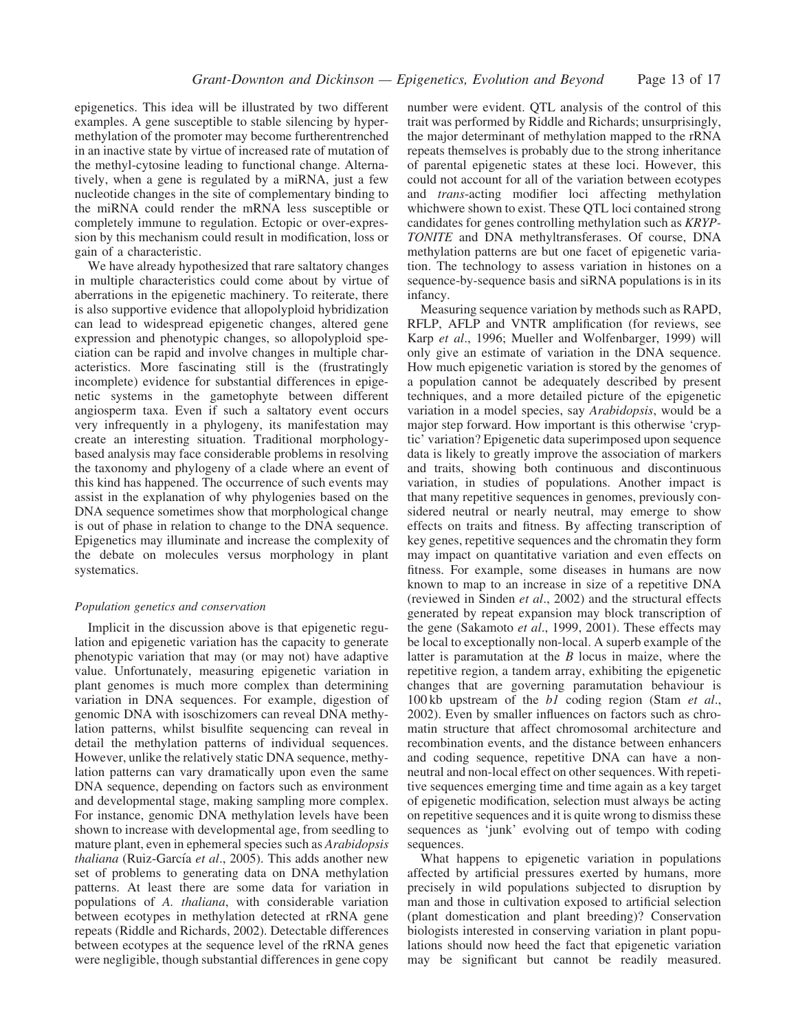epigenetics. This idea will be illustrated by two different examples. A gene susceptible to stable silencing by hypermethylation of the promoter may become furtherentrenched in an inactive state by virtue of increased rate of mutation of the methyl-cytosine leading to functional change. Alternatively, when a gene is regulated by a miRNA, just a few nucleotide changes in the site of complementary binding to the miRNA could render the mRNA less susceptible or completely immune to regulation. Ectopic or over-expression by this mechanism could result in modification, loss or gain of a characteristic.

We have already hypothesized that rare saltatory changes in multiple characteristics could come about by virtue of aberrations in the epigenetic machinery. To reiterate, there is also supportive evidence that allopolyploid hybridization can lead to widespread epigenetic changes, altered gene expression and phenotypic changes, so allopolyploid speciation can be rapid and involve changes in multiple characteristics. More fascinating still is the (frustratingly incomplete) evidence for substantial differences in epigenetic systems in the gametophyte between different angiosperm taxa. Even if such a saltatory event occurs very infrequently in a phylogeny, its manifestation may create an interesting situation. Traditional morphologybased analysis may face considerable problems in resolving the taxonomy and phylogeny of a clade where an event of this kind has happened. The occurrence of such events may assist in the explanation of why phylogenies based on the DNA sequence sometimes show that morphological change is out of phase in relation to change to the DNA sequence. Epigenetics may illuminate and increase the complexity of the debate on molecules versus morphology in plant systematics.

#### Population genetics and conservation

Implicit in the discussion above is that epigenetic regulation and epigenetic variation has the capacity to generate phenotypic variation that may (or may not) have adaptive value. Unfortunately, measuring epigenetic variation in plant genomes is much more complex than determining variation in DNA sequences. For example, digestion of genomic DNA with isoschizomers can reveal DNA methylation patterns, whilst bisulfite sequencing can reveal in detail the methylation patterns of individual sequences. However, unlike the relatively static DNA sequence, methylation patterns can vary dramatically upon even the same DNA sequence, depending on factors such as environment and developmental stage, making sampling more complex. For instance, genomic DNA methylation levels have been shown to increase with developmental age, from seedling to mature plant, even in ephemeral species such as Arabidopsis thaliana (Ruiz-García et al., 2005). This adds another new set of problems to generating data on DNA methylation patterns. At least there are some data for variation in populations of A. thaliana, with considerable variation between ecotypes in methylation detected at rRNA gene repeats (Riddle and Richards, 2002). Detectable differences between ecotypes at the sequence level of the rRNA genes were negligible, though substantial differences in gene copy number were evident. QTL analysis of the control of this trait was performed by Riddle and Richards; unsurprisingly, the major determinant of methylation mapped to the rRNA repeats themselves is probably due to the strong inheritance of parental epigenetic states at these loci. However, this could not account for all of the variation between ecotypes and trans-acting modifier loci affecting methylation whichwere shown to exist. These QTL loci contained strong candidates for genes controlling methylation such as KRYP-TONITE and DNA methyltransferases. Of course, DNA methylation patterns are but one facet of epigenetic variation. The technology to assess variation in histones on a sequence-by-sequence basis and siRNA populations is in its infancy.

Measuring sequence variation by methods such as RAPD, RFLP, AFLP and VNTR amplification (for reviews, see Karp et al., 1996; Mueller and Wolfenbarger, 1999) will only give an estimate of variation in the DNA sequence. How much epigenetic variation is stored by the genomes of a population cannot be adequately described by present techniques, and a more detailed picture of the epigenetic variation in a model species, say Arabidopsis, would be a major step forward. How important is this otherwise 'cryptic' variation? Epigenetic data superimposed upon sequence data is likely to greatly improve the association of markers and traits, showing both continuous and discontinuous variation, in studies of populations. Another impact is that many repetitive sequences in genomes, previously considered neutral or nearly neutral, may emerge to show effects on traits and fitness. By affecting transcription of key genes, repetitive sequences and the chromatin they form may impact on quantitative variation and even effects on fitness. For example, some diseases in humans are now known to map to an increase in size of a repetitive DNA (reviewed in Sinden et al., 2002) and the structural effects generated by repeat expansion may block transcription of the gene (Sakamoto et al., 1999, 2001). These effects may be local to exceptionally non-local. A superb example of the latter is paramutation at the  $B$  locus in maize, where the repetitive region, a tandem array, exhibiting the epigenetic changes that are governing paramutation behaviour is 100 kb upstream of the b1 coding region (Stam et al., 2002). Even by smaller influences on factors such as chromatin structure that affect chromosomal architecture and recombination events, and the distance between enhancers and coding sequence, repetitive DNA can have a nonneutral and non-local effect on other sequences. With repetitive sequences emerging time and time again as a key target of epigenetic modification, selection must always be acting on repetitive sequences and it is quite wrong to dismiss these sequences as 'junk' evolving out of tempo with coding sequences.

What happens to epigenetic variation in populations affected by artificial pressures exerted by humans, more precisely in wild populations subjected to disruption by man and those in cultivation exposed to artificial selection (plant domestication and plant breeding)? Conservation biologists interested in conserving variation in plant populations should now heed the fact that epigenetic variation may be significant but cannot be readily measured.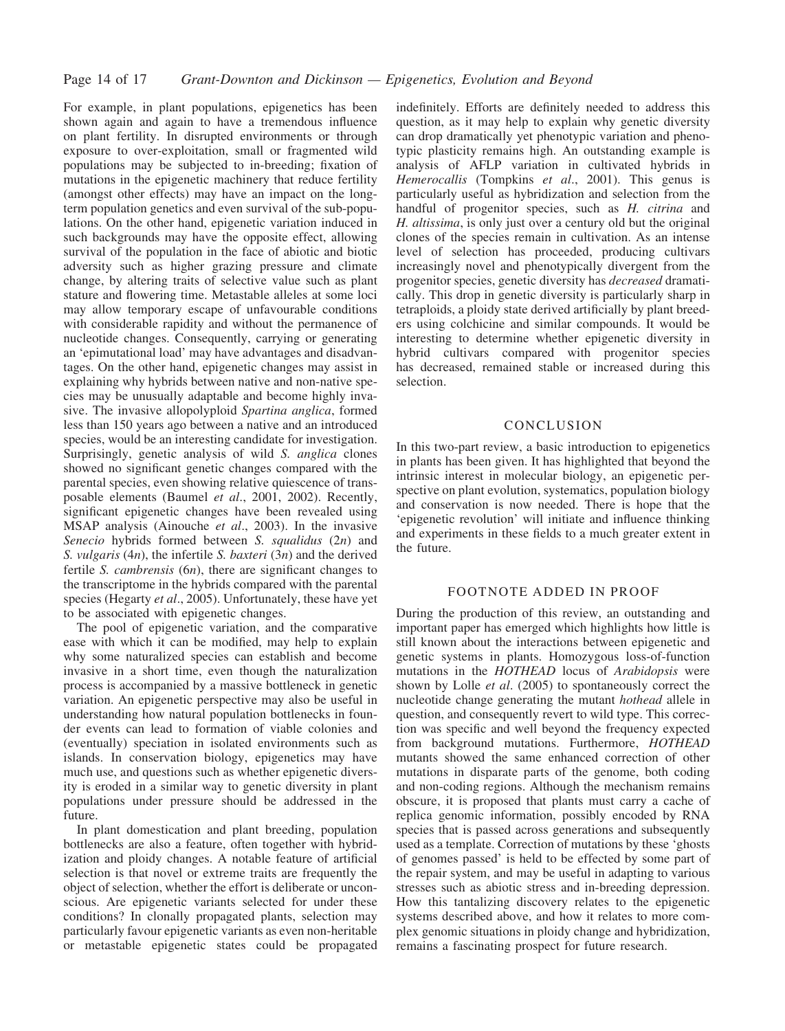For example, in plant populations, epigenetics has been shown again and again to have a tremendous influence on plant fertility. In disrupted environments or through exposure to over-exploitation, small or fragmented wild populations may be subjected to in-breeding; fixation of mutations in the epigenetic machinery that reduce fertility (amongst other effects) may have an impact on the longterm population genetics and even survival of the sub-populations. On the other hand, epigenetic variation induced in such backgrounds may have the opposite effect, allowing survival of the population in the face of abiotic and biotic adversity such as higher grazing pressure and climate change, by altering traits of selective value such as plant stature and flowering time. Metastable alleles at some loci may allow temporary escape of unfavourable conditions with considerable rapidity and without the permanence of nucleotide changes. Consequently, carrying or generating an 'epimutational load' may have advantages and disadvantages. On the other hand, epigenetic changes may assist in explaining why hybrids between native and non-native species may be unusually adaptable and become highly invasive. The invasive allopolyploid Spartina anglica, formed less than 150 years ago between a native and an introduced species, would be an interesting candidate for investigation. Surprisingly, genetic analysis of wild S. anglica clones showed no significant genetic changes compared with the parental species, even showing relative quiescence of transposable elements (Baumel et al., 2001, 2002). Recently, significant epigenetic changes have been revealed using MSAP analysis (Ainouche et al., 2003). In the invasive Senecio hybrids formed between S. squalidus  $(2n)$  and S. *vulgaris* (4*n*), the infertile S. *baxteri* (3*n*) and the derived fertile S. cambrensis (6n), there are significant changes to the transcriptome in the hybrids compared with the parental species (Hegarty *et al.*, 2005). Unfortunately, these have yet to be associated with epigenetic changes.

The pool of epigenetic variation, and the comparative ease with which it can be modified, may help to explain why some naturalized species can establish and become invasive in a short time, even though the naturalization process is accompanied by a massive bottleneck in genetic variation. An epigenetic perspective may also be useful in understanding how natural population bottlenecks in founder events can lead to formation of viable colonies and (eventually) speciation in isolated environments such as islands. In conservation biology, epigenetics may have much use, and questions such as whether epigenetic diversity is eroded in a similar way to genetic diversity in plant populations under pressure should be addressed in the future.

In plant domestication and plant breeding, population bottlenecks are also a feature, often together with hybridization and ploidy changes. A notable feature of artificial selection is that novel or extreme traits are frequently the object of selection, whether the effort is deliberate or unconscious. Are epigenetic variants selected for under these conditions? In clonally propagated plants, selection may particularly favour epigenetic variants as even non-heritable or metastable epigenetic states could be propagated indefinitely. Efforts are definitely needed to address this question, as it may help to explain why genetic diversity can drop dramatically yet phenotypic variation and phenotypic plasticity remains high. An outstanding example is analysis of AFLP variation in cultivated hybrids in Hemerocallis (Tompkins et al., 2001). This genus is particularly useful as hybridization and selection from the handful of progenitor species, such as H. citrina and H. altissima, is only just over a century old but the original clones of the species remain in cultivation. As an intense level of selection has proceeded, producing cultivars increasingly novel and phenotypically divergent from the progenitor species, genetic diversity has decreased dramatically. This drop in genetic diversity is particularly sharp in tetraploids, a ploidy state derived artificially by plant breeders using colchicine and similar compounds. It would be interesting to determine whether epigenetic diversity in hybrid cultivars compared with progenitor species has decreased, remained stable or increased during this selection.

#### CONCLUSION

In this two-part review, a basic introduction to epigenetics in plants has been given. It has highlighted that beyond the intrinsic interest in molecular biology, an epigenetic perspective on plant evolution, systematics, population biology and conservation is now needed. There is hope that the 'epigenetic revolution' will initiate and influence thinking and experiments in these fields to a much greater extent in the future.

## FOOTNOTE ADDED IN PROOF

During the production of this review, an outstanding and important paper has emerged which highlights how little is still known about the interactions between epigenetic and genetic systems in plants. Homozygous loss-of-function mutations in the HOTHEAD locus of Arabidopsis were shown by Lolle et al. (2005) to spontaneously correct the nucleotide change generating the mutant hothead allele in question, and consequently revert to wild type. This correction was specific and well beyond the frequency expected from background mutations. Furthermore, HOTHEAD mutants showed the same enhanced correction of other mutations in disparate parts of the genome, both coding and non-coding regions. Although the mechanism remains obscure, it is proposed that plants must carry a cache of replica genomic information, possibly encoded by RNA species that is passed across generations and subsequently used as a template. Correction of mutations by these 'ghosts of genomes passed' is held to be effected by some part of the repair system, and may be useful in adapting to various stresses such as abiotic stress and in-breeding depression. How this tantalizing discovery relates to the epigenetic systems described above, and how it relates to more complex genomic situations in ploidy change and hybridization, remains a fascinating prospect for future research.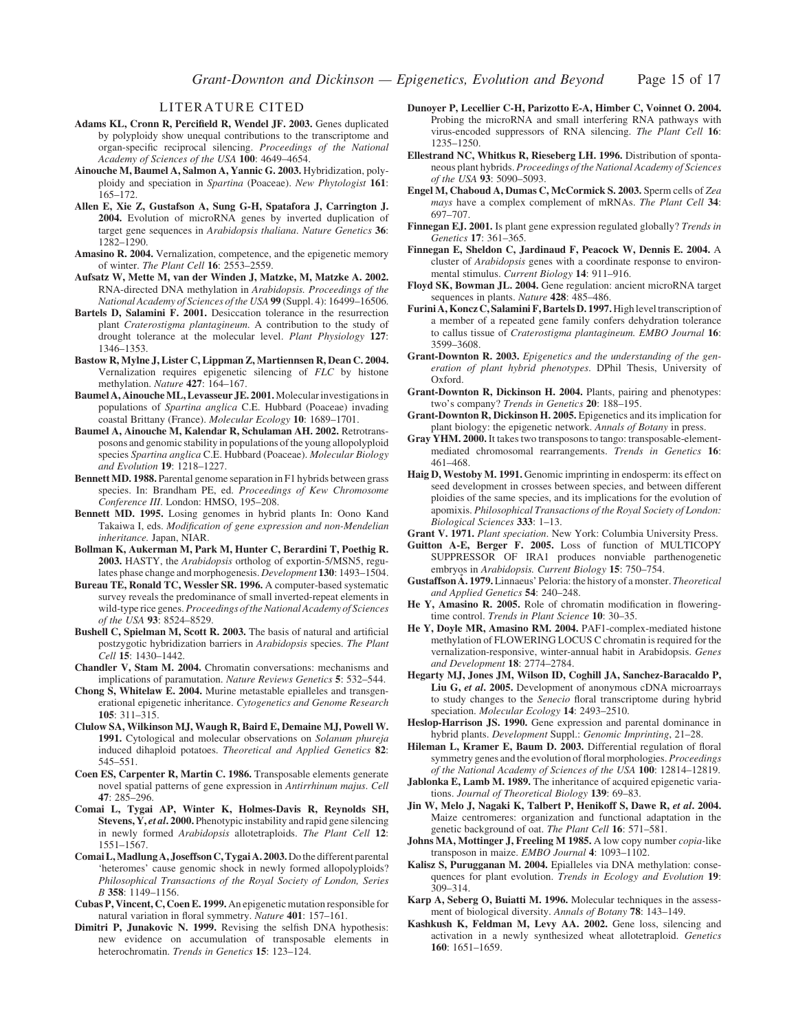#### LITERATURE CITED

- Adams KL, Cronn R, Percifield R, Wendel JF. 2003. Genes duplicated by polyploidy show unequal contributions to the transcriptome and organ-specific reciprocal silencing. Proceedings of the National Academy of Sciences of the USA 100: 4649–4654.
- Ainouche M, Baumel A, Salmon A, Yannic G. 2003. Hybridization, polyploidy and speciation in Spartina (Poaceae). New Phytologist 161: 165–172.
- Allen E, Xie Z, Gustafson A, Sung G-H, Spatafora J, Carrington J. 2004. Evolution of microRNA genes by inverted duplication of target gene sequences in Arabidopsis thaliana. Nature Genetics 36: 1282–1290.
- Amasino R. 2004. Vernalization, competence, and the epigenetic memory of winter. The Plant Cell 16: 2553–2559.
- Aufsatz W, Mette M, van der Winden J, Matzke, M, Matzke A. 2002. RNA-directed DNA methylation in Arabidopsis. Proceedings of the National Academy of Sciences of the USA 99 (Suppl. 4): 16499–16506.
- Bartels D, Salamini F. 2001. Desiccation tolerance in the resurrection plant Craterostigma plantagineum. A contribution to the study of drought tolerance at the molecular level. Plant Physiology 127: 1346–1353.
- Bastow R, Mylne J, Lister C, Lippman Z, Martiennsen R, Dean C. 2004. Vernalization requires epigenetic silencing of FLC by histone methylation. Nature 427: 164–167.
- Baumel A, Ainouche ML, Levasseur JE. 2001.Molecular investigations in populations of Spartina anglica C.E. Hubbard (Poaceae) invading coastal Brittany (France). Molecular Ecology 10: 1689–1701.
- Baumel A, Ainouche M, Kalendar R, Schulaman AH. 2002. Retrotransposons and genomic stability in populations of the young allopolyploid species Spartina anglica C.E. Hubbard (Poaceae). Molecular Biology and Evolution 19: 1218–1227.
- Bennett MD. 1988. Parental genome separation in F1 hybrids between grass species. In: Brandham PE, ed. Proceedings of Kew Chromosome Conference III. London: HMSO, 195–208.
- Bennett MD. 1995. Losing genomes in hybrid plants In: Oono Kand Takaiwa I, eds. Modification of gene expression and non-Mendelian inheritance. Japan, NIAR.
- Bollman K, Aukerman M, Park M, Hunter C, Berardini T, Poethig R. 2003. HASTY, the *Arabidopsis* ortholog of exportin-5/MSN5, regulates phase change and morphogenesis. Development 130: 1493–1504.
- Bureau TE, Ronald TC, Wessler SR. 1996. A computer-based systematic survey reveals the predominance of small inverted-repeat elements in wild-type rice genes. Proceedings of the National Academy of Sciences of the USA 93: 8524–8529.
- Bushell C, Spielman M, Scott R. 2003. The basis of natural and artificial postzygotic hybridization barriers in Arabidopsis species. The Plant Cell 15: 1430–1442.
- Chandler V, Stam M. 2004. Chromatin conversations: mechanisms and implications of paramutation. Nature Reviews Genetics 5: 532–544.
- Chong S, Whitelaw E. 2004. Murine metastable epialleles and transgenerational epigenetic inheritance. Cytogenetics and Genome Research 105:  $311-\overline{3}1\overline{5}$ .
- Clulow SA, Wilkinson MJ, Waugh R, Baird E, Demaine MJ, Powell W. 1991. Cytological and molecular observations on Solanum phureja induced dihaploid potatoes. Theoretical and Applied Genetics 82: 545–551.
- Coen ES, Carpenter R, Martin C. 1986. Transposable elements generate novel spatial patterns of gene expression in Antirrhinum majus. Cell 47: 285–296.
- Comai L, Tygai AP, Winter K, Holmes-Davis R, Reynolds SH, Stevens,  $\overline{Y}$ , et al. 2000. Phenotypic instability and rapid gene silencing in newly formed Arabidopsis allotetraploids. The Plant Cell 12: 1551–1567.
- Comai L, Madlung A, Joseffson C, Tygai A. 2003.Do the different parental 'heteromes' cause genomic shock in newly formed allopolyploids? Philosophical Transactions of the Royal Society of London, Series B 358: 1149–1156.
- Cubas P, Vincent, C, Coen E. 1999. An epigenetic mutation responsible for natural variation in floral symmetry. Nature 401: 157–161.
- Dimitri P, Junakovic N. 1999. Revising the selfish DNA hypothesis: new evidence on accumulation of transposable elements in heterochromatin. Trends in Genetics 15: 123-124.
- Dunoyer P, Lecellier C-H, Parizotto E-A, Himber C, Voinnet O. 2004. Probing the microRNA and small interfering RNA pathways with virus-encoded suppressors of RNA silencing. The Plant Cell 16: 1235–1250.
- Ellestrand NC, Whitkus R, Rieseberg LH. 1996. Distribution of spontaneous plant hybrids. Proceedings of the National Academy of Sciences of the USA 93: 5090–5093.
- Engel M, Chaboud A, Dumas C, McCormick S. 2003. Sperm cells of Zea mays have a complex complement of mRNAs. The Plant Cell 34: 697–707.
- Finnegan EJ. 2001. Is plant gene expression regulated globally? Trends in Genetics 17: 361–365.
- Finnegan E, Sheldon C, Jardinaud F, Peacock W, Dennis E. 2004. A cluster of Arabidopsis genes with a coordinate response to environmental stimulus. Current Biology 14: 911–916.
- Floyd SK, Bowman JL. 2004. Gene regulation: ancient microRNA target sequences in plants. Nature 428: 485–486.
- Furini A, Koncz C, Salamini F, Bartels D. 1997.High level transcription of a member of a repeated gene family confers dehydration tolerance to callus tissue of Craterostigma plantagineum. EMBO Journal 16: 3599–3608.
- Grant-Downton R. 2003. Epigenetics and the understanding of the generation of plant hybrid phenotypes. DPhil Thesis, University of Oxford.
- Grant-Downton R, Dickinson H. 2004. Plants, pairing and phenotypes: two's company? Trends in Genetics 20: 188–195.
- Grant-Downton R, Dickinson H. 2005. Epigenetics and its implication for plant biology: the epigenetic network. Annals of Botany in press.
- Gray YHM. 2000. It takes two transposons to tango: transposable-elementmediated chromosomal rearrangements. Trends in Genetics 16: 461–468.
- Haig D, Westoby M. 1991. Genomic imprinting in endosperm: its effect on seed development in crosses between species, and between different ploidies of the same species, and its implications for the evolution of apomixis. Philosophical Transactions of the Royal Society of London: Biological Sciences 333: 1–13.
- Grant V. 1971. Plant speciation. New York: Columbia University Press.
- Guitton A-E, Berger F. 2005. Loss of function of MULTICOPY SUPPRESSOR OF IRA1 produces nonviable parthenogenetic embryos in Arabidopsis. Current Biology 15: 750–754.
- Gustaffson A. 1979. Linnaeus' Peloria: the history of a monster. Theoretical and Applied Genetics 54: 240–248.
- Y, Amasino R. 2005. Role of chromatin modification in floweringtime control. Trends in Plant Science 10: 30–35.
- He Y, Doyle MR, Amasino RM. 2004. PAF1-complex-mediated histone methylation of FLOWERING LOCUS C chromatin is required for the vernalization-responsive, winter-annual habit in Arabidopsis. Genes and Development 18: 2774–2784.
- Hegarty MJ, Jones JM, Wilson ID, Coghill JA, Sanchez-Baracaldo P, Liu G, et al. 2005. Development of anonymous cDNA microarrays to study changes to the Senecio floral transcriptome during hybrid speciation. Molecular Ecology 14: 2493-2510.
- Heslop-Harrison JS. 1990. Gene expression and parental dominance in hybrid plants. Development Suppl.: Genomic Imprinting, 21–28.
- Hileman L, Kramer E, Baum D. 2003. Differential regulation of floral symmetry genes and the evolution of floral morphologies. Proceedings of the National Academy of Sciences of the USA 100: 12814–12819.
- Jablonka E, Lamb M. 1989. The inheritance of acquired epigenetic variations. Journal of Theoretical Biology 139: 69–83.
- Jin W, Melo J, Nagaki K, Talbert P, Henikoff S, Dawe R, et al. 2004. Maize centromeres: organization and functional adaptation in the genetic background of oat. The Plant Cell 16: 571–581.
- Johns MA, Mottinger J, Freeling M 1985. A low copy number copia-like transposon in maize. EMBO Journal 4: 1093–1102.
- Kalisz S, Purugganan M. 2004. Epialleles via DNA methylation: consequences for plant evolution. Trends in Ecology and Evolution 19: 309–314.
- Karp A, Seberg O, Buiatti M. 1996. Molecular techniques in the assessment of biological diversity. Annals of Botany 78: 143–149.
- Kashkush K, Feldman M, Levy AA. 2002. Gene loss, silencing and activation in a newly synthesized wheat allotetraploid. Genetics 160: 1651–1659.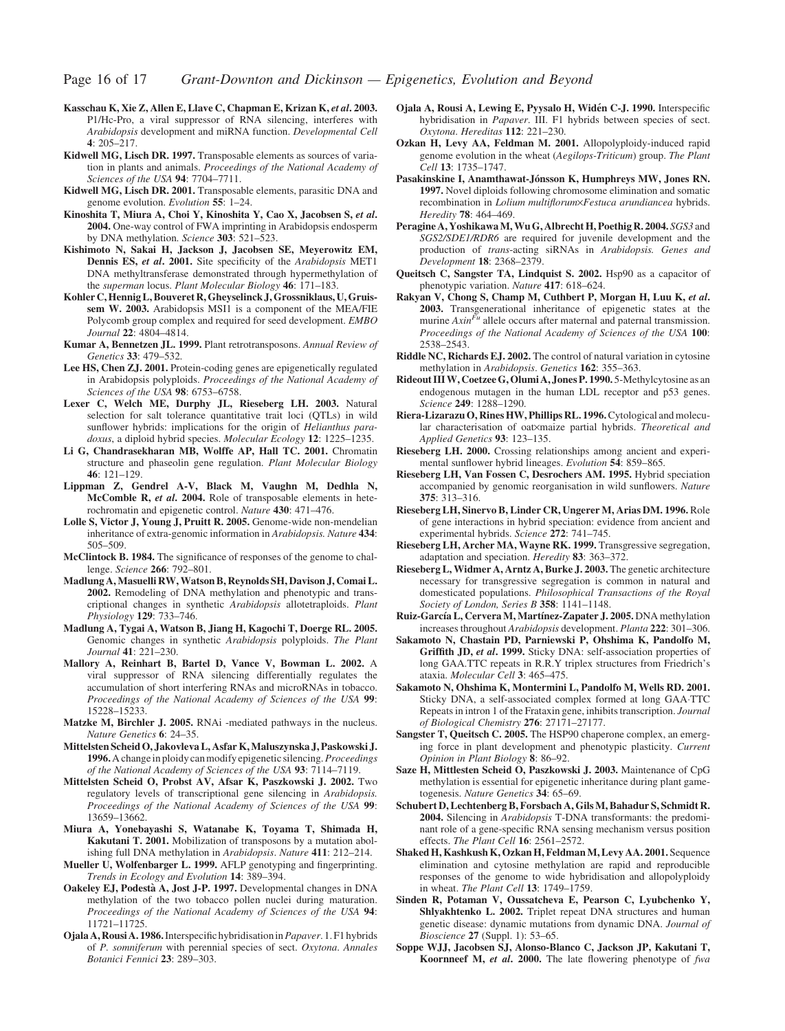- Kasschau K, Xie Z, Allen E, Llave C, Chapman E, Krizan K, et al. 2003. P1/Hc-Pro, a viral suppressor of RNA silencing, interferes with Arabidopsis development and miRNA function. Developmental Cell 4: 205–217.
- Kidwell MG, Lisch DR. 1997. Transposable elements as sources of variation in plants and animals. Proceedings of the National Academy of Sciences of the USA 94: 7704–7711.
- Kidwell MG, Lisch DR. 2001. Transposable elements, parasitic DNA and genome evolution. Evolution 55: 1–24.
- Kinoshita T, Miura A, Choi Y, Kinoshita Y, Cao X, Jacobsen S, et al. 2004. One-way control of FWA imprinting in Arabidopsis endosperm by DNA methylation. Science 303: 521–523.
- Kishimoto N, Sakai H, Jackson J, Jacobsen SE, Meyerowitz EM, Dennis ES, et al. 2001. Site specificity of the Arabidopsis MET1 DNA methyltransferase demonstrated through hypermethylation of the superman locus. Plant Molecular Biology 46: 171–183.
- Kohler C, Hennig L, Bouveret R, Gheyselinck J, Grossniklaus, U, Gruissem W. 2003. Arabidopsis MSI1 is a component of the MEA/FIE Polycomb group complex and required for seed development. EMBO Journal 22: 4804–4814.
- Kumar A, Bennetzen JL. 1999. Plant retrotransposons. Annual Review of Genetics 33: 479–532.
- Lee HS, Chen ZJ. 2001. Protein-coding genes are epigenetically regulated in Arabidopsis polyploids. Proceedings of the National Academy of Sciences of the USA 98: 6753–6758.
- Lexer C, Welch ME, Durphy JL, Rieseberg LH. 2003. Natural selection for salt tolerance quantitative trait loci (QTLs) in wild sunflower hybrids: implications for the origin of *Helianthus para*doxus, a diploid hybrid species. Molecular Ecology 12: 1225–1235.
- Li G, Chandrasekharan MB, Wolffe AP, Hall TC. 2001. Chromatin structure and phaseolin gene regulation. Plant Molecular Biology 46: 121–129.
- Lippman Z, Gendrel A-V, Black M, Vaughn M, Dedhla N, McComble R, et al. 2004. Role of transposable elements in heterochromatin and epigenetic control. Nature 430: 471–476.
- Lolle S, Victor J, Young J, Pruitt R. 2005. Genome-wide non-mendelian inheritance of extra-genomic information in Arabidopsis. Nature 434: 505–509.
- McClintock B. 1984. The significance of responses of the genome to challenge. Science 266: 792–801.
- Madlung A, Masuelli RW, Watson B, Reynolds SH, Davison J, Comai L. 2002. Remodeling of DNA methylation and phenotypic and transcriptional changes in synthetic Arabidopsis allotetraploids. Plant Physiology 129: 733–746.
- Madlung A, Tygai A, Watson B, Jiang H, Kagochi T, Doerge RL. 2005. Genomic changes in synthetic Arabidopsis polyploids. The Plant Journal 41: 221–230.
- Mallory A, Reinhart B, Bartel D, Vance V, Bowman L. 2002. A viral suppressor of RNA silencing differentially regulates the accumulation of short interfering RNAs and microRNAs in tobacco. Proceedings of the National Academy of Sciences of the USA 99: 15228–15233.
- Matzke M, Birchler J. 2005. RNAi -mediated pathways in the nucleus. Nature Genetics 6: 24–35.
- Mittelsten Scheid O, Jakovleva L, Asfar K, Maluszynska J, Paskowski J. 1996. A change in ploidy can modify epigenetic silencing. Proceedings of the National Academy of Sciences of the USA 93: 7114–7119.
- Mittelsten Scheid O, Probst AV, Afsar K, Paszkowski J. 2002. Two regulatory levels of transcriptional gene silencing in Arabidopsis. Proceedings of the National Academy of Sciences of the USA 99: 13659–13662.
- Miura A, Yonebayashi S, Watanabe K, Toyama T, Shimada H, Kakutani T. 2001. Mobilization of transposons by a mutation abolishing full DNA methylation in Arabidopsis. Nature 411: 212–214.
- Mueller U, Wolfenbarger L. 1999. AFLP genotyping and fingerprinting. Trends in Ecology and Evolution 14: 389–394.
- Oakeley EJ, Podesta` A, Jost J-P. 1997. Developmental changes in DNA methylation of the two tobacco pollen nuclei during maturation. Proceedings of the National Academy of Sciences of the USA 94: 11721–11725.
- Ojala A, RousiA. 1986.Interspecific hybridisationinPapaver. 1.F1 hybrids of P. somniferum with perennial species of sect. Oxytona. Annales Botanici Fennici 23: 289–303.
- Ojala A, Rousi A, Lewing E, Pyysalo H, Widén C-J. 1990. Interspecific hybridisation in Papaver. III. F1 hybrids between species of sect. Oxytona. Hereditas 112: 221–230.
- Ozkan H, Levy AA, Feldman M. 2001. Allopolyploidy-induced rapid genome evolution in the wheat (Aegilops-Triticum) group. The Plant Cell 13: 1735–1747.
- Pasakinskine I, Anamthawat-Jónsson K, Humphreys MW, Jones RN. 1997. Novel diploids following chromosome elimination and somatic recombination in Lolium multiflorum×Festuca arundiancea hybrids. Heredity 78: 464–469.
- Peragine A, Yoshikawa M, Wu G, Albrecht H, Poethig R. 2004. SGS3 and SGS2/SDE1/RDR6 are required for juvenile development and the production of trans-acting siRNAs in Arabidopsis. Genes and Development 18: 2368–2379.
- Queitsch C, Sangster TA, Lindquist S. 2002. Hsp90 as a capacitor of phenotypic variation. Nature 417: 618–624.
- Rakyan V, Chong S, Champ M, Cuthbert P, Morgan H, Luu K, et al. 2003. Transgenerational inheritance of epigenetic states at the murine  $Axin^{Fu}$  allele occurs after maternal and paternal transmission. Proceedings of the National Academy of Sciences of the USA 100: 2538–2543.
- Riddle NC, Richards EJ. 2002. The control of natural variation in cytosine methylation in Arabidopsis. Genetics 162: 355–363.
- Rideout III W, Coetzee G, Olumi A, Jones P. 1990. 5-Methylcytosine as an endogenous mutagen in the human LDL receptor and p53 genes. Science 249: 1288–1290.
- Riera-Lizarazu O, Rines HW, Phillips RL. 1996.Cytological and molecular characterisation of oat×maize partial hybrids. Theoretical and Applied Genetics 93: 123–135.
- Rieseberg LH. 2000. Crossing relationships among ancient and experimental sunflower hybrid lineages. Evolution 54: 859–865.
- Rieseberg LH, Van Fossen C, Desrochers AM. 1995. Hybrid speciation accompanied by genomic reorganisation in wild sunflowers. Nature 375: 313–316.
- Rieseberg LH, Sinervo B, Linder CR, Ungerer M, Arias DM. 1996. Role of gene interactions in hybrid speciation: evidence from ancient and experimental hybrids. Science 272: 741–745.
- Rieseberg LH, Archer MA, Wayne RK. 1999. Transgressive segregation, adaptation and speciation. Heredity 83: 363–372.
- Rieseberg L, Widmer A, Arntz A, Burke J. 2003. The genetic architecture necessary for transgressive segregation is common in natural and domesticated populations. Philosophical Transactions of the Royal Society of London, Series B 358: 1141-1148.
- Ruiz-García L, Cervera M, Martínez-Zapater J. 2005. DNA methylation increases throughout Arabidopsis development. Planta 222: 301–306.
- Sakamoto N, Chastain PD, Parniewski P, Ohshima K, Pandolfo M, Griffith JD, et al. 1999. Sticky DNA: self-association properties of long GAA.TTC repeats in R.R.Y triplex structures from Friedrich's ataxia. Molecular Cell 3: 465–475.
- Sakamoto N, Ohshima K, Montermini L, Pandolfo M, Wells RD. 2001. Sticky DNA, a self-associated complex formed at long GAA-TTC Repeats in intron 1 of the Frataxin gene, inhibits transcription. Journal of Biological Chemistry 276: 27171–27177.
- Sangster T, Queitsch C. 2005. The HSP90 chaperone complex, an emerging force in plant development and phenotypic plasticity. Current Opinion in Plant Biology 8: 86–92.
- Saze H, Mittlesten Scheid O, Paszkowski J. 2003. Maintenance of CpG methylation is essential for epigenetic inheritance during plant gametogenesis. Nature Genetics 34: 65–69.
- Schubert D, Lechtenberg B, Forsbach A, Gils M, Bahadur S, Schmidt R. 2004. Silencing in Arabidopsis T-DNA transformants: the predominant role of a gene-specific RNA sensing mechanism versus position effects. The Plant Cell 16: 2561–2572.
- Shaked H, Kashkush K, Ozkan H, Feldman M, Levy AA. 2001. Sequence elimination and cytosine methylation are rapid and reproducible responses of the genome to wide hybridisation and allopolyploidy in wheat. The Plant Cell 13: 1749–1759.
- Sinden R, Potaman V, Oussatcheva E, Pearson C, Lyubchenko Y, Shlyakhtenko L. 2002. Triplet repeat DNA structures and human genetic disease: dynamic mutations from dynamic DNA. Journal of Bioscience 27 (Suppl. 1): 53–65.
- Soppe WJJ, Jacobsen SJ, Alonso-Blanco C, Jackson JP, Kakutani T, Koornneef M, et al. 2000. The late flowering phenotype of fwa